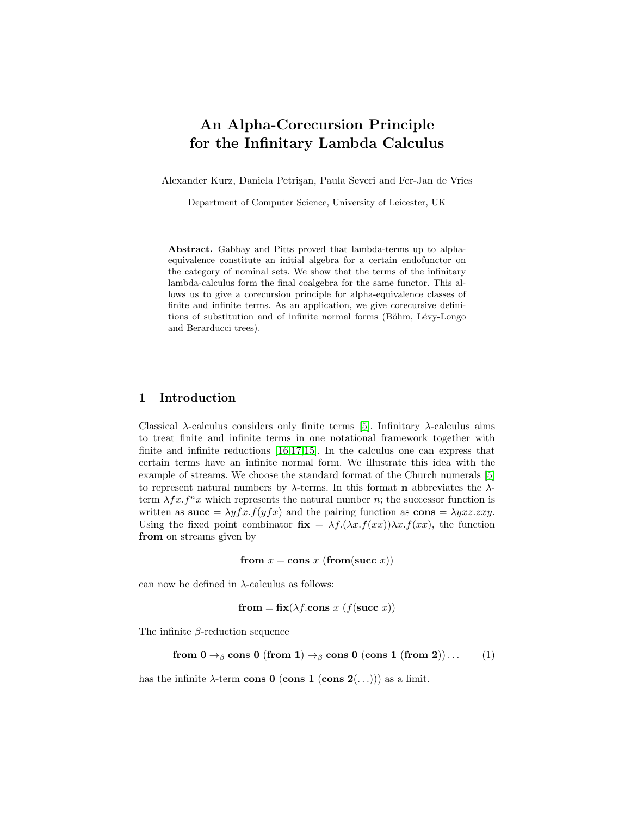# <span id="page-0-0"></span>An Alpha-Corecursion Principle for the Infinitary Lambda Calculus

Alexander Kurz, Daniela Petri¸san, Paula Severi and Fer-Jan de Vries

Department of Computer Science, University of Leicester, UK

Abstract. Gabbay and Pitts proved that lambda-terms up to alphaequivalence constitute an initial algebra for a certain endofunctor on the category of nominal sets. We show that the terms of the infinitary lambda-calculus form the final coalgebra for the same functor. This allows us to give a corecursion principle for alpha-equivalence classes of finite and infinite terms. As an application, we give corecursive definitions of substitution and of infinite normal forms (Böhm, Lévy-Longo and Berarducci trees).

# 1 Introduction

Classical  $\lambda$ -calculus considers only finite terms [\[5\]](#page-19-0). Infinitary  $\lambda$ -calculus aims to treat finite and infinite terms in one notational framework together with finite and infinite reductions [\[16,](#page-19-1)[17,](#page-19-2)[15\]](#page-19-3). In the calculus one can express that certain terms have an infinite normal form. We illustrate this idea with the example of streams. We choose the standard format of the Church numerals [\[5\]](#page-19-0) to represent natural numbers by  $\lambda$ -terms. In this format **n** abbreviates the  $\lambda$ term  $\lambda f x. f^n x$  which represents the natural number n; the successor function is written as  $succ = \lambda y f x . f (y f x)$  and the pairing function as  $cons = \lambda y x z . zxy$ . Using the fixed point combinator  $\mathbf{fix} = \lambda f.(\lambda x.f(xx))\lambda x.f(xx)$ , the function from on streams given by

from  $x = \text{cons } x$  (from(succ x))

can now be defined in  $\lambda$ -calculus as follows:

$$
from = fix(\lambda f.\text{cons } x \ (f(\text{succ } x))
$$

The infinite  $\beta$ -reduction sequence

from 
$$
0 \rightarrow_{\beta}
$$
 cons 0 (from 1)  $\rightarrow_{\beta}$  cons 0 (cons 1 (from 2)). . . (1)

has the infinite  $\lambda$ -term cons 0 (cons 1 (cons 2(...))) as a limit.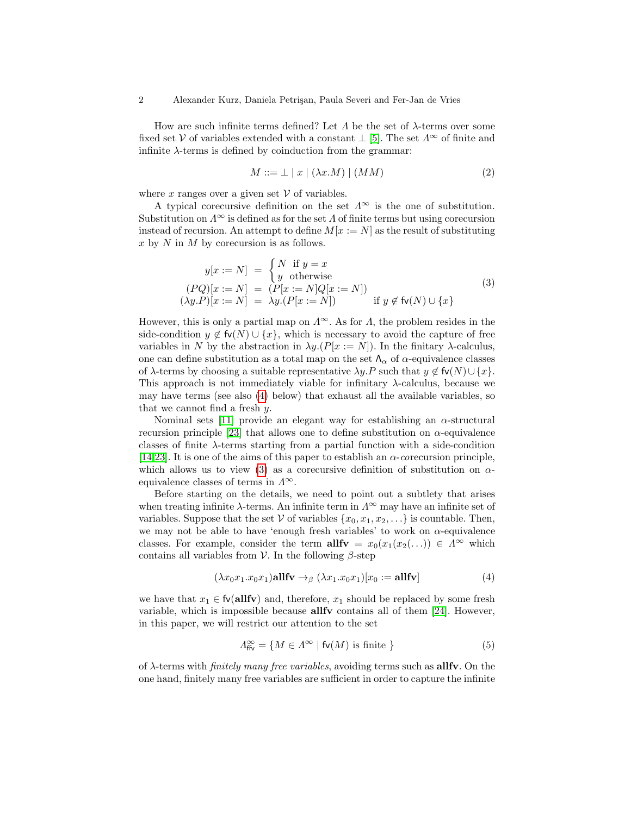How are such infinite terms defined? Let  $\Lambda$  be the set of  $\lambda$ -terms over some fixed set V of variables extended with a constant  $\perp$  [\[5\]](#page-19-0). The set  $\Lambda^{\infty}$  of finite and infinite  $\lambda$ -terms is defined by coinduction from the grammar:

$$
M ::= \bot \mid x \mid (\lambda x.M) \mid (MM) \tag{2}
$$

where x ranges over a given set  $\mathcal V$  of variables.

A typical corecursive definition on the set  $\Lambda^{\infty}$  is the one of substitution. Substitution on  $\Lambda^{\infty}$  is defined as for the set  $\Lambda$  of finite terms but using corecursion instead of recursion. An attempt to define  $M[x := N]$  as the result of substituting  $x$  by  $N$  in  $M$  by corecursion is as follows.

$$
y[x := N] = \begin{cases} N & \text{if } y = x \\ y & \text{otherwise} \end{cases}
$$
  
\n
$$
(PQ)[x := N] = (P[x := N]Q[x := N])
$$
  
\n
$$
(\lambda y.P)[x := N] = \lambda y.(P[x := N]) \quad \text{if } y \notin \text{fv}(N) \cup \{x\}
$$
\n(3)

However, this is only a partial map on  $\Lambda^{\infty}$ . As for  $\Lambda$ , the problem resides in the side-condition  $y \notin f_v(N) \cup \{x\}$ , which is necessary to avoid the capture of free variables in N by the abstraction in  $\lambda y.(P[x := N])$ . In the finitary  $\lambda$ -calculus, one can define substitution as a total map on the set  $\Lambda_{\alpha}$  of  $\alpha$ -equivalence classes of  $\lambda$ -terms by choosing a suitable representative  $\lambda y.P$  such that  $y \notin f\nu(N) \cup \{x\}.$ This approach is not immediately viable for infinitary  $\lambda$ -calculus, because we may have terms (see also [\(4\)](#page-0-0) below) that exhaust all the available variables, so that we cannot find a fresh y.

Nominal sets [\[11\]](#page-19-4) provide an elegant way for establishing an  $\alpha$ -structural recursion principle [\[23\]](#page-19-5) that allows one to define substitution on  $\alpha$ -equivalence classes of finite  $\lambda$ -terms starting from a partial function with a side-condition [\[14](#page-19-6)[,23\]](#page-19-5). It is one of the aims of this paper to establish an  $\alpha$ -corecursion principle, which allows us to view [\(3\)](#page-0-0) as a corecursive definition of substitution on  $\alpha$ equivalence classes of terms in  $\Lambda^{\infty}$ .

Before starting on the details, we need to point out a subtlety that arises when treating infinite  $\lambda$ -terms. An infinite term in  $\Lambda^{\infty}$  may have an infinite set of variables. Suppose that the set V of variables  $\{x_0, x_1, x_2, \ldots\}$  is countable. Then, we may not be able to have 'enough fresh variables' to work on  $\alpha$ -equivalence classes. For example, consider the term  $\text{allfv} = x_0(x_1(x_2(\ldots)) \in \Lambda^\infty$  which contains all variables from  $\mathcal V$ . In the following  $\beta$ -step

$$
(\lambda x_0 x_1 . x_0 x_1) \text{allfv} \rightarrow_{\beta} (\lambda x_1 . x_0 x_1)[x_0 := \text{allfv}]
$$
\n(4)

we have that  $x_1 \in \text{fv}(\text{allfv})$  and, therefore,  $x_1$  should be replaced by some fresh variable, which is impossible because allfv contains all of them [\[24\]](#page-19-7). However, in this paper, we will restrict our attention to the set

$$
\Lambda_{\text{ffv}}^{\infty} = \{ M \in \Lambda^{\infty} \mid \text{fv}(M) \text{ is finite } \}
$$
 (5)

of  $\lambda$ -terms with *finitely many free variables*, avoiding terms such as **allfv**. On the one hand, finitely many free variables are sufficient in order to capture the infinite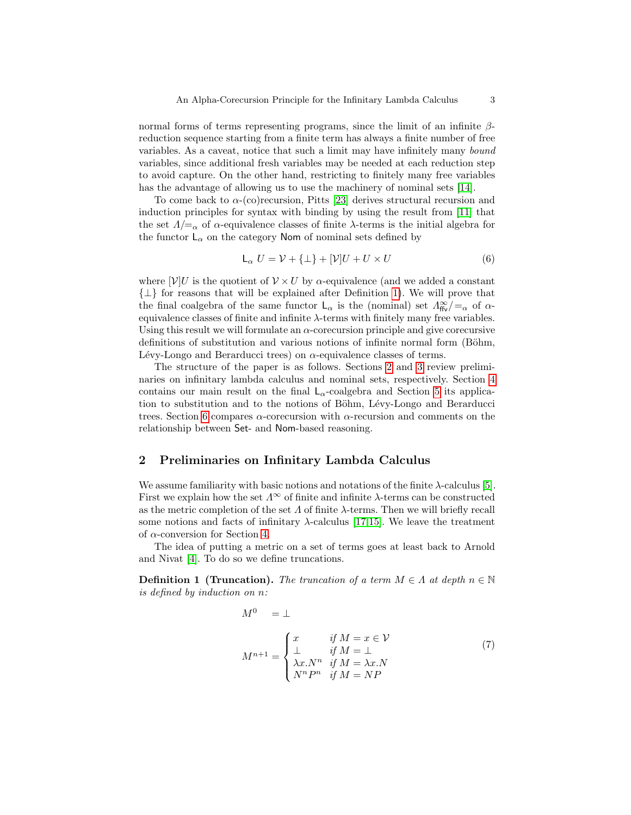normal forms of terms representing programs, since the limit of an infinite  $\beta$ reduction sequence starting from a finite term has always a finite number of free variables. As a caveat, notice that such a limit may have infinitely many bound variables, since additional fresh variables may be needed at each reduction step to avoid capture. On the other hand, restricting to finitely many free variables has the advantage of allowing us to use the machinery of nominal sets [\[14\]](#page-19-6).

To come back to  $\alpha$ -(co)recursion, Pitts [\[23\]](#page-19-5) derives structural recursion and induction principles for syntax with binding by using the result from [\[11\]](#page-19-4) that the set  $\Lambda/\mathbf{=}_{\alpha}$  of  $\alpha$ -equivalence classes of finite  $\lambda$ -terms is the initial algebra for the functor  $\mathsf{L}_{\alpha}$  on the category Nom of nominal sets defined by

$$
\mathsf{L}_{\alpha} U = \mathcal{V} + \{\bot\} + [\mathcal{V}]U + U \times U \tag{6}
$$

where  $[V]U$  is the quotient of  $V \times U$  by  $\alpha$ -equivalence (and we added a constant  $\{\perp\}$  for reasons that will be explained after Definition [1\)](#page-2-0). We will prove that the final coalgebra of the same functor  $\mathsf{L}_{\alpha}$  is the (nominal) set  $\Lambda_{\text{ffv}}^{\infty}/=_\alpha$  of  $\alpha$ equivalence classes of finite and infinite  $\lambda$ -terms with finitely many free variables. Using this result we will formulate an  $\alpha$ -corecursion principle and give corecursive definitions of substitution and various notions of infinite normal form (Böhm, Lévy-Longo and Berarducci trees) on  $\alpha$ -equivalence classes of terms.

The structure of the paper is as follows. Sections [2](#page-2-1) and [3](#page-5-0) review preliminaries on infinitary lambda calculus and nominal sets, respectively. Section [4](#page-7-0) contains our main result on the final  $L_{\alpha}$ -coalgebra and Section [5](#page-13-0) its application to substitution and to the notions of Böhm, Lévy-Longo and Berarducci trees. Section [6](#page-17-0) compares  $\alpha$ -corecursion with  $\alpha$ -recursion and comments on the relationship between Set- and Nom-based reasoning.

## <span id="page-2-1"></span>2 Preliminaries on Infinitary Lambda Calculus

We assume familiarity with basic notions and notations of the finite  $\lambda$ -calculus [\[5\]](#page-19-0). First we explain how the set  $\Lambda^{\infty}$  of finite and infinite  $\lambda$ -terms can be constructed as the metric completion of the set  $\Lambda$  of finite  $\lambda$ -terms. Then we will briefly recall some notions and facts of infinitary  $\lambda$ -calculus [\[17](#page-19-2)[,15\]](#page-19-3). We leave the treatment of  $\alpha$ -conversion for Section [4.](#page-7-0)

The idea of putting a metric on a set of terms goes at least back to Arnold and Nivat [\[4\]](#page-19-8). To do so we define truncations.

<span id="page-2-0"></span>**Definition 1 (Truncation).** The truncation of a term  $M \in \Lambda$  at depth  $n \in \mathbb{N}$ is defined by induction on n:

$$
M^{0} = \perp
$$
\n
$$
M^{n+1} = \begin{cases} x & \text{if } M = x \in \mathcal{V} \\ \perp & \text{if } M = \perp \\ \lambda x.N^{n} & \text{if } M = \lambda x.N \\ N^{n}P^{n} & \text{if } M = NP \end{cases}
$$
\n(7)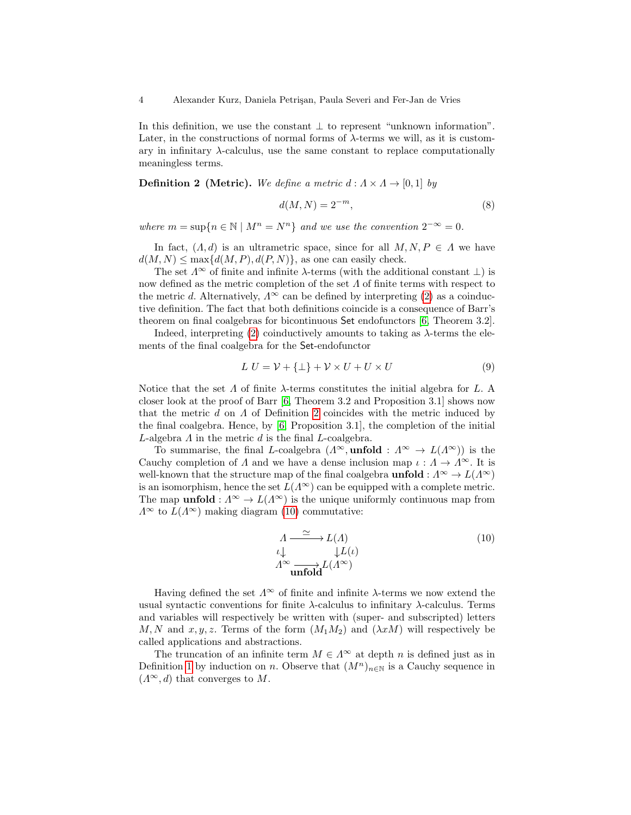In this definition, we use the constant  $\perp$  to represent "unknown information". Later, in the constructions of normal forms of  $\lambda$ -terms we will, as it is customary in infinitary  $\lambda$ -calculus, use the same constant to replace computationally meaningless terms.

<span id="page-3-0"></span>**Definition 2 (Metric).** We define a metric  $d : A \times A \rightarrow [0, 1]$  by

$$
d(M, N) = 2^{-m},\tag{8}
$$

where  $m = \sup\{n \in \mathbb{N} \mid M^n = N^n\}$  and we use the convention  $2^{-\infty} = 0$ .

In fact,  $(A, d)$  is an ultrametric space, since for all  $M, N, P \in A$  we have  $d(M, N) \leq \max\{d(M, P), d(P, N)\}\$ , as one can easily check.

The set  $\Lambda^{\infty}$  of finite and infinite  $\lambda$ -terms (with the additional constant  $\bot$ ) is now defined as the metric completion of the set  $\Lambda$  of finite terms with respect to the metric d. Alternatively,  $\Lambda^{\infty}$  can be defined by interpreting [\(2\)](#page-0-0) as a coinductive definition. The fact that both definitions coincide is a consequence of Barr's theorem on final coalgebras for bicontinuous Set endofunctors [\[6,](#page-19-9) Theorem 3.2].

Indeed, interpreting [\(2\)](#page-0-0) coinductively amounts to taking as  $\lambda$ -terms the elements of the final coalgebra for the Set-endofunctor

$$
L U = \mathcal{V} + {\{\perp\}} + \mathcal{V} \times U + U \times U \tag{9}
$$

Notice that the set  $\Lambda$  of finite  $\lambda$ -terms constitutes the initial algebra for L. A closer look at the proof of Barr [\[6,](#page-19-9) Theorem 3.2 and Proposition 3.1] shows now that the metric  $d$  on  $\Lambda$  of Definition [2](#page-3-0) coincides with the metric induced by the final coalgebra. Hence, by [\[6,](#page-19-9) Proposition 3.1], the completion of the initial L-algebra  $\Lambda$  in the metric  $d$  is the final L-coalgebra.

To summarise, the final L-coalgebra  $(\Lambda^{\infty}, \text{unfold}: \Lambda^{\infty} \to L(\Lambda^{\infty}))$  is the Cauchy completion of  $\Lambda$  and we have a dense inclusion map  $\iota : \Lambda \to \Lambda^\infty$ . It is well-known that the structure map of the final coalgebra **unfold** :  $\Lambda^{\infty} \to L(\Lambda^{\infty})$ is an isomorphism, hence the set  $L(\Lambda^\infty)$  can be equipped with a complete metric. The map **unfold** :  $\Lambda^{\infty} \to L(\Lambda^{\infty})$  is the unique uniformly continuous map from  $\Lambda^{\infty}$  to  $L(\Lambda^{\infty})$  making diagram [\(10\)](#page-0-0) commutative:

$$
\begin{array}{l}\nA \xrightarrow{\simeq} L(A) \\
\iota \downarrow \qquad \qquad \downarrow L(\iota) \\
A^{\infty} \xrightarrow{\text{unfold}} L(A^{\infty})\n\end{array} \tag{10}
$$

Having defined the set  $\Lambda^{\infty}$  of finite and infinite  $\lambda$ -terms we now extend the usual syntactic conventions for finite  $\lambda$ -calculus to infinitary  $\lambda$ -calculus. Terms and variables will respectively be written with (super- and subscripted) letters M, N and  $x, y, z$ . Terms of the form  $(M_1M_2)$  and  $(\lambda xM)$  will respectively be called applications and abstractions.

The truncation of an infinite term  $M \in \Lambda^{\infty}$  at depth n is defined just as in Definition [1](#page-2-0) by induction on n. Observe that  $(M^n)_{n\in\mathbb{N}}$  is a Cauchy sequence in  $(\Lambda^{\infty}, d)$  that converges to M.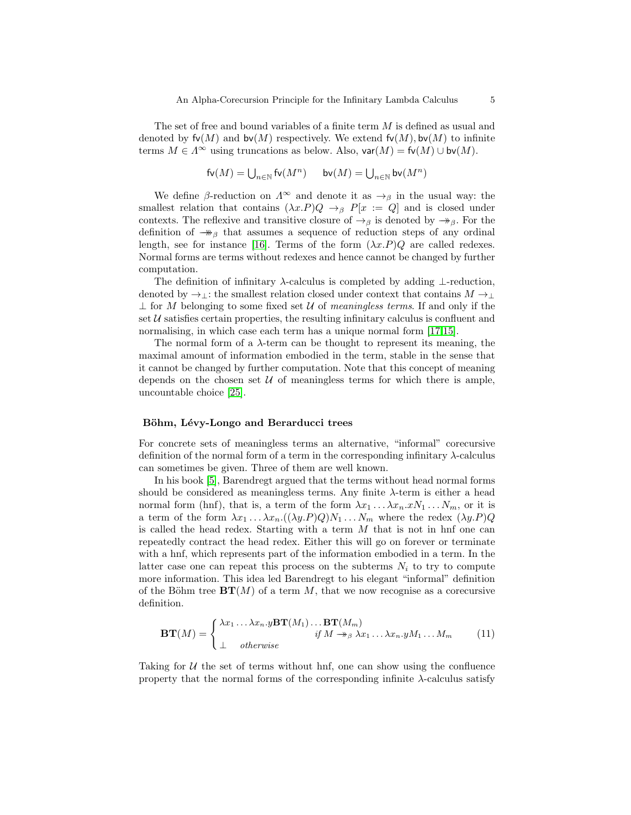The set of free and bound variables of a finite term M is defined as usual and denoted by  $f\nu(M)$  and  $b\nu(M)$  respectively. We extend  $f\nu(M)$ ,  $b\nu(M)$  to infinite terms  $M \in \Lambda^{\infty}$  using truncations as below. Also,  $\mathsf{var}(M) = \mathsf{fv}(M) \cup \mathsf{bv}(M)$ .

$$
\mathsf{fv}(M) = \bigcup\nolimits_{n \in \mathbb{N}} \mathsf{fv}(M^n) \quad \quad \mathsf{bv}(M) = \bigcup\nolimits_{n \in \mathbb{N}} \mathsf{bv}(M^n)
$$

We define  $\beta$ -reduction on  $\Lambda^{\infty}$  and denote it as  $\rightarrow_{\beta}$  in the usual way: the smallest relation that contains  $(\lambda x.P)Q \rightarrow_{\beta} P[x := Q]$  and is closed under contexts. The reflexive and transitive closure of  $\rightarrow_{\beta}$  is denoted by  $\rightarrow_{\beta}$ . For the definition of  $\rightarrow\!\!\!\!\rightarrow$ <sub>β</sub> that assumes a sequence of reduction steps of any ordinal length, see for instance [\[16\]](#page-19-1). Terms of the form  $(\lambda x.P)Q$  are called redexes. Normal forms are terms without redexes and hence cannot be changed by further computation.

The definition of infinitary  $\lambda$ -calculus is completed by adding ⊥-reduction, denoted by  $\rightarrow_{\perp}$ : the smallest relation closed under context that contains  $M \rightarrow_{\perp}$  $\perp$  for M belonging to some fixed set U of meaningless terms. If and only if the set  $U$  satisfies certain properties, the resulting infinitary calculus is confluent and normalising, in which case each term has a unique normal form [\[17,](#page-19-2)[15\]](#page-19-3).

The normal form of a  $\lambda$ -term can be thought to represent its meaning, the maximal amount of information embodied in the term, stable in the sense that it cannot be changed by further computation. Note that this concept of meaning depends on the chosen set  $U$  of meaningless terms for which there is ample, uncountable choice [\[25\]](#page-19-10).

#### Böhm, Lévy-Longo and Berarducci trees

For concrete sets of meaningless terms an alternative, "informal" corecursive definition of the normal form of a term in the corresponding infinitary  $\lambda$ -calculus can sometimes be given. Three of them are well known.

In his book [\[5\]](#page-19-0), Barendregt argued that the terms without head normal forms should be considered as meaningless terms. Any finite  $\lambda$ -term is either a head normal form (hnf), that is, a term of the form  $\lambda x_1 \ldots \lambda x_n x N_1 \ldots N_m$ , or it is a term of the form  $\lambda x_1 \ldots \lambda x_n \cdot ((\lambda y.P)Q)N_1 \ldots N_m$  where the redex  $(\lambda y.P)Q$ is called the head redex. Starting with a term  $M$  that is not in hnf one can repeatedly contract the head redex. Either this will go on forever or terminate with a hnf, which represents part of the information embodied in a term. In the latter case one can repeat this process on the subterms  $N_i$  to try to compute more information. This idea led Barendregt to his elegant "informal" definition of the Böhm tree  $BT(M)$  of a term M, that we now recognise as a corecursive definition.

$$
\mathbf{BT}(M) = \begin{cases} \lambda x_1 \dots \lambda x_n . y \mathbf{BT}(M_1) \dots \mathbf{BT}(M_m) \\ \vdots \\ \Delta \quad \text{otherwise} \end{cases} \quad \text{if } M \to_{\beta} \lambda x_1 \dots \lambda x_n . y M_1 \dots M_m \tag{11}
$$

Taking for  $U$  the set of terms without hnf, one can show using the confluence property that the normal forms of the corresponding infinite  $\lambda$ -calculus satisfy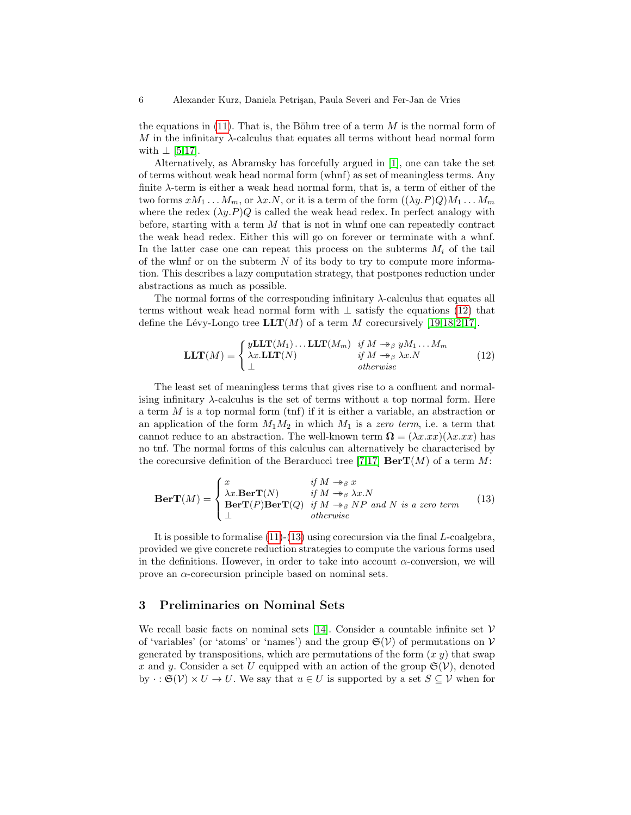the equations in [\(11\)](#page-0-0). That is, the Böhm tree of a term  $M$  is the normal form of  $M$  in the infinitary  $\lambda$ -calculus that equates all terms without head normal form with  $\perp$  [\[5](#page-19-0)[,17\]](#page-19-2).

Alternatively, as Abramsky has forcefully argued in [\[1\]](#page-18-0), one can take the set of terms without weak head normal form (whnf) as set of meaningless terms. Any finite  $\lambda$ -term is either a weak head normal form, that is, a term of either of the two forms  $xM_1 \ldots M_m$ , or  $\lambda x.N$ , or it is a term of the form  $((\lambda y.P)Q)M_1 \ldots M_m$ where the redex  $(\lambda y.P)Q$  is called the weak head redex. In perfect analogy with before, starting with a term  $M$  that is not in whnf one can repeatedly contract the weak head redex. Either this will go on forever or terminate with a whnf. In the latter case one can repeat this process on the subterms  $M_i$  of the tail of the whnf or on the subterm  $N$  of its body to try to compute more information. This describes a lazy computation strategy, that postpones reduction under abstractions as much as possible.

The normal forms of the corresponding infinitary  $\lambda$ -calculus that equates all terms without weak head normal form with  $\perp$  satisfy the equations [\(12\)](#page-0-0) that define the Lévy-Longo tree  $LLT(M)$  of a term M corecursively [\[19,](#page-19-11)[18,](#page-19-12)[2,](#page-19-13)[17\]](#page-19-2).

$$
\mathbf{LLT}(M) = \begin{cases} y\mathbf{LLT}(M_1) \dots \mathbf{LLT}(M_m) & \text{if } M \twoheadrightarrow_{\beta} yM_1 \dots M_m \\ \lambda x.\mathbf{LLT}(N) & \text{if } M \twoheadrightarrow_{\beta} \lambda x.N \\ \bot & \text{otherwise} \end{cases} \tag{12}
$$

The least set of meaningless terms that gives rise to a confluent and normalising infinitary  $\lambda$ -calculus is the set of terms without a top normal form. Here a term M is a top normal form (tnf) if it is either a variable, an abstraction or an application of the form  $M_1M_2$  in which  $M_1$  is a zero term, i.e. a term that cannot reduce to an abstraction. The well-known term  $\mathbf{\Omega} = (\lambda x.xx)(\lambda x.xx)$  has no tnf. The normal forms of this calculus can alternatively be characterised by the corecursive definition of the Berarducci tree [\[7,](#page-19-14)[17\]](#page-19-2)  $\mathbf{BerT}(M)$  of a term M:

$$
\mathbf{BerT}(M) = \begin{cases} x & \text{if } M \to_{\beta} x \\ \lambda x. \mathbf{BerT}(N) & \text{if } M \to_{\beta} \lambda x. N \\ \mathbf{BerT}(P) \mathbf{BerT}(Q) & \text{if } M \to_{\beta} NP \text{ and } N \text{ is a zero term} \\ \perp & otherwise \end{cases}
$$
(13)

It is possible to formalise  $(11)-(13)$  $(11)-(13)$  $(11)-(13)$  using corecursion via the final L-coalgebra, provided we give concrete reduction strategies to compute the various forms used in the definitions. However, in order to take into account  $\alpha$ -conversion, we will prove an  $\alpha$ -corecursion principle based on nominal sets.

## <span id="page-5-0"></span>3 Preliminaries on Nominal Sets

We recall basic facts on nominal sets [\[14\]](#page-19-6). Consider a countable infinite set  $\mathcal V$ of 'variables' (or 'atoms' or 'names') and the group  $\mathfrak{S}(\mathcal{V})$  of permutations on  $\mathcal{V}$ generated by transpositions, which are permutations of the form  $(x, y)$  that swap x and y. Consider a set U equipped with an action of the group  $\mathfrak{S}(\mathcal{V})$ , denoted by  $\cdot : \mathfrak{S}(\mathcal{V}) \times U \to U$ . We say that  $u \in U$  is supported by a set  $S \subseteq \mathcal{V}$  when for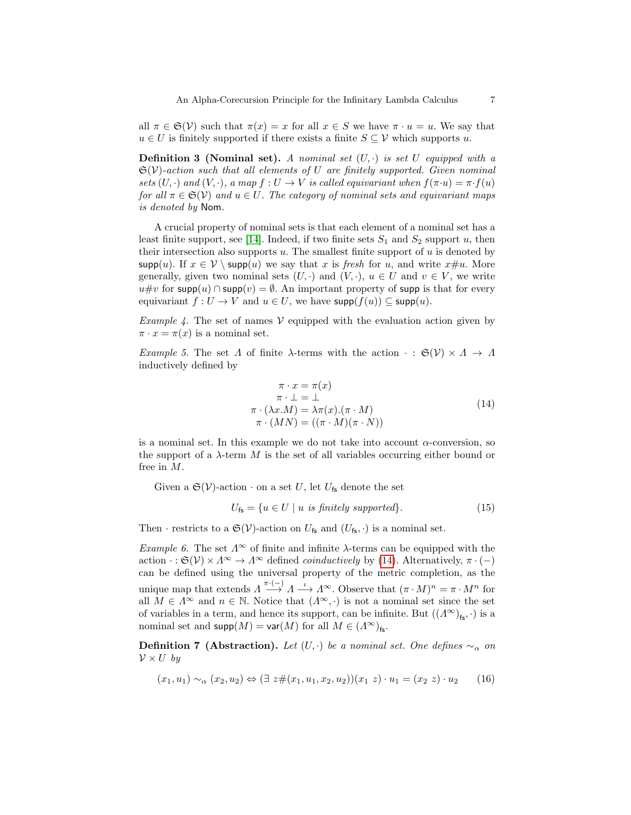all  $\pi \in \mathfrak{S}(\mathcal{V})$  such that  $\pi(x) = x$  for all  $x \in S$  we have  $\pi \cdot u = u$ . We say that  $u \in U$  is finitely supported if there exists a finite  $S \subseteq V$  which supports u.

**Definition 3 (Nominal set).** A nominal set  $(U, \cdot)$  is set  $U$  equipped with a  $\mathfrak{S}(\mathcal{V})$ -action such that all elements of U are finitely supported. Given nominal sets  $(U, \cdot)$  and  $(V, \cdot)$ , a map  $f: U \to V$  is called equivariant when  $f(\pi \cdot u) = \pi \cdot f(u)$ for all  $\pi \in \mathfrak{S}(\mathcal{V})$  and  $u \in U$ . The category of nominal sets and equivariant maps is denoted by Nom.

A crucial property of nominal sets is that each element of a nominal set has a least finite support, see [\[14\]](#page-19-6). Indeed, if two finite sets  $S_1$  and  $S_2$  support u, then their intersection also supports  $u$ . The smallest finite support of  $u$  is denoted by supp(u). If  $x \in V \setminus \text{supp}(u)$  we say that x is fresh for u, and write  $x \# u$ . More generally, given two nominal sets  $(U, \cdot)$  and  $(V, \cdot)$ ,  $u \in U$  and  $v \in V$ , we write u#v for supp(u) ∩ supp(v) =  $\emptyset$ . An important property of supp is that for every equivariant  $f: U \to V$  and  $u \in U$ , we have  $\mathsf{supp}(f(u)) \subseteq \mathsf{supp}(u)$ .

*Example 4.* The set of names  $V$  equipped with the evaluation action given by  $\pi \cdot x = \pi(x)$  is a nominal set.

<span id="page-6-0"></span>Example 5. The set  $\Lambda$  of finite  $\lambda$ -terms with the action  $\cdot : \mathfrak{S}(\mathcal{V}) \times \Lambda \to \Lambda$ inductively defined by

$$
\pi \cdot x = \pi(x) \n\pi \cdot \bot = \bot \n\pi \cdot (\lambda x.M) = \lambda \pi(x).(\pi \cdot M) \n\pi \cdot (MN) = ((\pi \cdot M)(\pi \cdot N))
$$
\n(14)

is a nominal set. In this example we do not take into account  $\alpha$ -conversion, so the support of a  $\lambda$ -term M is the set of all variables occurring either bound or free in M.

Given a  $\mathfrak{S}(\mathcal{V})$ -action  $\cdot$  on a set U, let U<sub>fs</sub> denote the set

$$
U_{\mathsf{fs}} = \{ u \in U \mid u \text{ is finitely supported} \}. \tag{15}
$$

Then · restricts to a  $\mathfrak{S}(\mathcal{V})$ -action on  $U_{\mathsf{fs}}$  and  $(U_{\mathsf{fs}}, \cdot)$  is a nominal set.

Example 6. The set  $\Lambda^{\infty}$  of finite and infinite  $\lambda$ -terms can be equipped with the action  $\cdot : \mathfrak{S}(\mathcal{V}) \times \Lambda^{\infty} \to \Lambda^{\infty}$  defined *coinductively* by [\(14\)](#page-0-0). Alternatively,  $\pi \cdot (-)$ can be defined using the universal property of the metric completion, as the unique map that extends  $\Lambda \stackrel{\pi\cdot (-)}{\longrightarrow} \Lambda \stackrel{\iota}{\longrightarrow} \Lambda^{\infty}$ . Observe that  $(\pi \cdot M)^n = \pi \cdot M^n$  for all  $M \in \Lambda^{\infty}$  and  $n \in \mathbb{N}$ . Notice that  $(\Lambda^{\infty}, \cdot)$  is not a nominal set since the set of variables in a term, and hence its support, can be infinite. But  $((\Lambda^\infty)_{\text{fs}}, \cdot)$  is a nominal set and  $\textsf{supp}(M) = \textsf{var}(M)$  for all  $M \in (A^{\infty})_{\textsf{fs}}$ .

**Definition 7 (Abstraction).** Let  $(U, \cdot)$  be a nominal set. One defines  $\sim_{\alpha}$  on  $\mathcal{V} \times U$  by

$$
(x_1, u_1) \sim_{\alpha} (x_2, u_2) \Leftrightarrow (\exists z \# (x_1, u_1, x_2, u_2))(x_1 \ z) \cdot u_1 = (x_2 \ z) \cdot u_2 \tag{16}
$$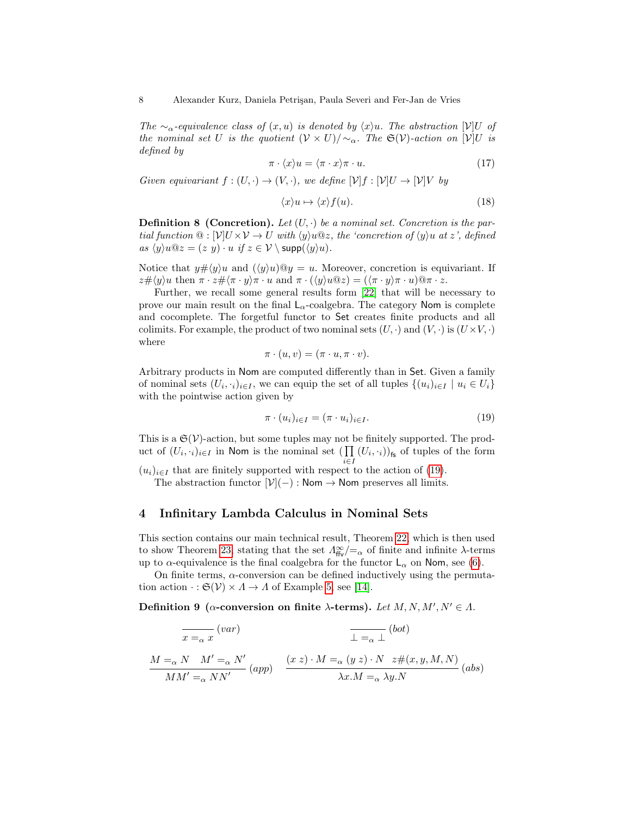The  $\sim_{\alpha}$ -equivalence class of  $(x, u)$  is denoted by  $\langle x \rangle u$ . The abstraction  $[\mathcal{V}]$ U of the nominal set U is the quotient  $(\mathcal{V} \times U)/\sim_{\alpha}$ . The G(V)-action on [V]U is defined by

$$
\pi \cdot \langle x \rangle u = \langle \pi \cdot x \rangle \pi \cdot u. \tag{17}
$$

Given equivariant  $f:(U,\cdot) \to (V,\cdot)$ , we define  $[\mathcal{V}]f:[\mathcal{V}]U \to [\mathcal{V}]V$  by

$$
\langle x \rangle u \mapsto \langle x \rangle f(u). \tag{18}
$$

**Definition 8 (Concretion).** Let  $(U, \cdot)$  be a nominal set. Concretion is the partial function  $\mathcal{Q}: [\mathcal{V}]\cup[\mathcal{V}]\times\mathcal{V} \to \mathcal{U}$  with  $\langle y \rangle u \mathbb{Q}z$ , the 'concretion of  $\langle y \rangle u$  at z', defined as  $\langle y \rangle u @z = (z \ y) \cdot u \text{ if } z \in \mathcal{V} \setminus \text{supp}(\langle y \rangle u).$ 

Notice that  $y\# \langle y \rangle u$  and  $(\langle y \rangle u) \mathbb{Q} y = u$ . Moreover, concretion is equivariant. If  $z\# \langle y \rangle u$  then  $\pi \cdot z\# \langle \pi \cdot y \rangle \pi \cdot u$  and  $\pi \cdot (\langle y \rangle u \mathbb{Q} z) = (\langle \pi \cdot y \rangle \pi \cdot u) \mathbb{Q} \pi \cdot z$ .

Further, we recall some general results form [\[22\]](#page-19-15) that will be necessary to prove our main result on the final  $\mathsf{L}_\alpha\text{-coalgebra.}$  The category  $\mathsf{Nom}$  is complete and cocomplete. The forgetful functor to Set creates finite products and all colimits. For example, the product of two nominal sets  $(U, \cdot)$  and  $(V, \cdot)$  is  $(U \times V, \cdot)$ where

$$
\pi \cdot (u, v) = (\pi \cdot u, \pi \cdot v).
$$

Arbitrary products in Nom are computed differently than in Set. Given a family of nominal sets  $(U_i, \cdot_i)_{i \in I}$ , we can equip the set of all tuples  $\{(u_i)_{i \in I} \mid u_i \in U_i\}$ with the pointwise action given by

$$
\pi \cdot (u_i)_{i \in I} = (\pi \cdot u_i)_{i \in I}.\tag{19}
$$

This is a  $\mathfrak{S}(\mathcal{V})$ -action, but some tuples may not be finitely supported. The product of  $(U_i, \cdot_i)_{i \in I}$  in Nom is the nominal set  $(\prod_i (U_i, \cdot_i))_{\mathsf{fs}}$  of tuples of the form i∈I

 $(u_i)_{i\in I}$  that are finitely supported with respect to the action of [\(19\)](#page-0-0).

The abstraction functor  $[\mathcal{V}](-)$ : Nom  $\rightarrow$  Nom preserves all limits.

#### <span id="page-7-0"></span>4 Infinitary Lambda Calculus in Nominal Sets

This section contains our main technical result, Theorem [22,](#page-11-0) which is then used to show Theorem [23,](#page-12-0) stating that the set  $\Lambda_{\text{ffv}}^{\infty}/=\alpha$  of finite and infinite  $\lambda$ -terms up to  $\alpha$ -equivalence is the final coalgebra for the functor  $L_{\alpha}$  on Nom, see [\(6\)](#page-0-0).

On finite terms,  $\alpha$ -conversion can be defined inductively using the permutation action  $\cdot : \mathfrak{S}(\mathcal{V}) \times \Lambda \to \Lambda$  of Example [5,](#page-6-0) see [\[14\]](#page-19-6).

Definition 9 ( $\alpha$ -conversion on finite  $\lambda$ -terms). Let  $M, N, M', N' \in \Lambda$ .

$$
\frac{}{x=_\alpha x} (var)
$$
\n
$$
\frac{}{M =_\alpha N M' =_\alpha N'} (var)
$$
\n
$$
\frac{}{M =_\alpha N M' =_\alpha N'} (app)
$$
\n
$$
\frac{(x z) \cdot M =_\alpha (y z) \cdot N z \# (x, y, M, N)}{\lambda x \cdot M =_\alpha \lambda y \cdot N} (abs)
$$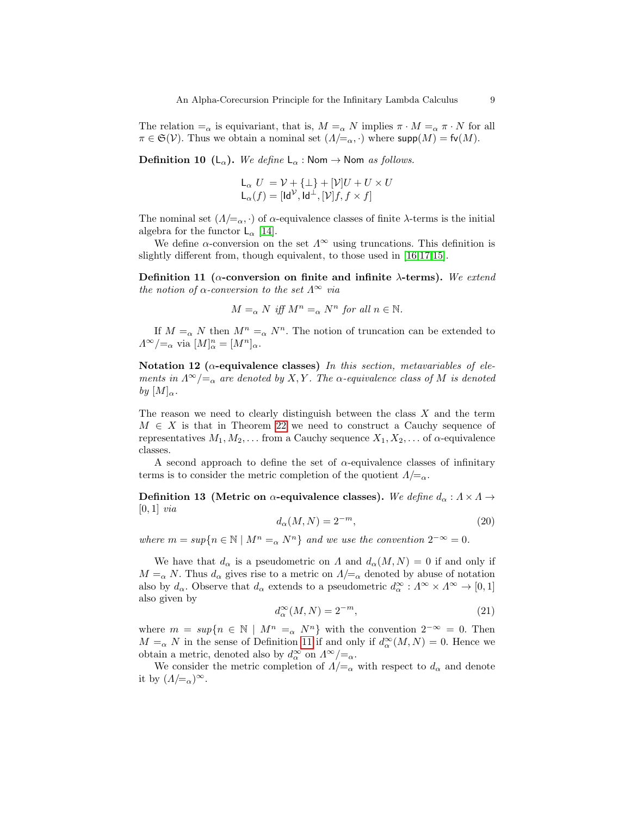The relation  $=_{\alpha}$  is equivariant, that is,  $M =_{\alpha} N$  implies  $\pi \cdot M =_{\alpha} \pi \cdot N$  for all  $\pi \in \mathfrak{S}(\mathcal{V})$ . Thus we obtain a nominal set  $(A/\!\!=_{\alpha},\cdot)$  where supp $(M) = \mathfrak{f}\mathfrak{v}(M)$ .

**Definition 10** (L<sub>α</sub>). We define  $L_{\alpha}$ : Nom  $\rightarrow$  Nom as follows.

$$
L_{\alpha} U = V + {\{\perp\}} + [V]U + U \times U
$$
  

$$
L_{\alpha}(f) = [Id^{V}, Id^{\perp}, [V]f, f \times f]
$$

The nominal set  $(\Lambda/\equiv_\alpha, \cdot)$  of  $\alpha$ -equivalence classes of finite  $\lambda$ -terms is the initial algebra for the functor  $\mathsf{L}_{\alpha}$  [\[14\]](#page-19-6).

We define  $\alpha$ -conversion on the set  $\Lambda^{\infty}$  using truncations. This definition is slightly different from, though equivalent, to those used in [\[16,](#page-19-1)[17,](#page-19-2)[15\]](#page-19-3).

<span id="page-8-0"></span>Definition 11 ( $\alpha$ -conversion on finite and infinite  $\lambda$ -terms). We extend the notion of  $\alpha$ -conversion to the set  $\Lambda^{\infty}$  via

$$
M =_{\alpha} N \text{ iff } M^n =_{\alpha} N^n \text{ for all } n \in \mathbb{N}.
$$

If  $M =_{\alpha} N$  then  $M^n =_{\alpha} N^n$ . The notion of truncation can be extended to  $\Lambda^{\infty}/\!\!=_{\alpha}$  via  $[M]_{\alpha}^{n} = [M^{n}]_{\alpha}$ .

Notation 12 ( $\alpha$ -equivalence classes) In this section, metavariables of elements in  $\Lambda^{\infty}/=_\alpha$  are denoted by X, Y. The  $\alpha$ -equivalence class of M is denoted by  $[M]_{\alpha}$ .

The reason we need to clearly distinguish between the class  $X$  and the term  $M \in X$  is that in Theorem [22](#page-11-0) we need to construct a Cauchy sequence of representatives  $M_1, M_2, \ldots$  from a Cauchy sequence  $X_1, X_2, \ldots$  of  $\alpha$ -equivalence classes.

A second approach to define the set of  $\alpha$ -equivalence classes of infinitary terms is to consider the metric completion of the quotient  $\Lambda/\mathbf{=}_{\alpha}$ .

Definition 13 (Metric on  $\alpha$ -equivalence classes). We define  $d_{\alpha}: A \times A \rightarrow$  $[0, 1]$  via

$$
d_{\alpha}(M,N) = 2^{-m},\tag{20}
$$

where  $m = \sup\{n \in \mathbb{N} \mid M^n = \alpha N^n\}$  and we use the convention  $2^{-\infty} = 0$ .

We have that  $d_{\alpha}$  is a pseudometric on  $\Lambda$  and  $d_{\alpha}(M, N) = 0$  if and only if  $M = \alpha N$ . Thus  $d_{\alpha}$  gives rise to a metric on  $\Lambda = \alpha$  denoted by abuse of notation also by  $d_{\alpha}$ . Observe that  $d_{\alpha}$  extends to a pseudometric  $d_{\alpha}^{\infty} : \Lambda^{\infty} \times \Lambda^{\infty} \to [0,1]$ also given by

$$
d_{\alpha}^{\infty}(M,N) = 2^{-m},\tag{21}
$$

where  $m = \sup\{n \in \mathbb{N} \mid M^n =_{\alpha} N^n\}$  with the convention  $2^{-\infty} = 0$ . Then  $M = \alpha N$  in the sense of Definition [11](#page-8-0) if and only if  $d_{\alpha}^{\infty}(M, N) = 0$ . Hence we obtain a metric, denoted also by  $d^{\infty}_{\alpha}$  on  $\Lambda^{\infty}/=_\alpha$ .

<span id="page-8-1"></span>We consider the metric completion of  $\Lambda/\mathbf{=}_{\alpha}$  with respect to  $d_{\alpha}$  and denote it by  $(\Lambda/\equiv_\alpha)^\infty$ .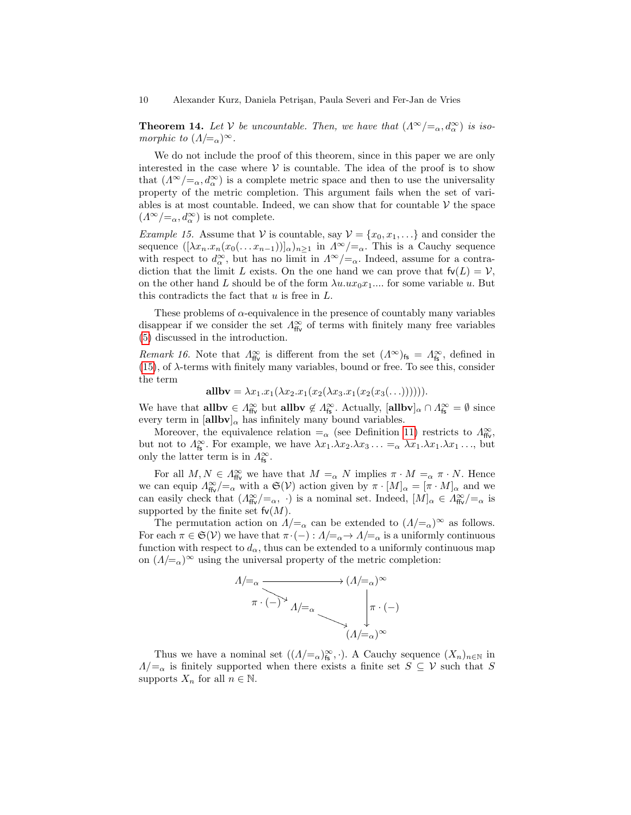**Theorem 14.** Let V be uncountable. Then, we have that  $(\Lambda^{\infty}/=_{\alpha}, d^{\infty}_{\alpha})$  is isomorphic to  $(A/\equiv_\alpha)^\infty$ .

We do not include the proof of this theorem, since in this paper we are only interested in the case where  $V$  is countable. The idea of the proof is to show that  $(A^{\infty}/=_\alpha, d^{\infty}_{\alpha})$  is a complete metric space and then to use the universality property of the metric completion. This argument fails when the set of variables is at most countable. Indeed, we can show that for countable  $V$  the space  $(A^{\infty}/\!\!=_{\alpha}, d^{\infty}_{\alpha})$  is not complete.

*Example 15.* Assume that V is countable, say  $V = \{x_0, x_1, ...\}$  and consider the sequence  $([\lambda x_n.x_n(x_0(\ldots x_{n-1}))]_{\alpha})_{n\geq 1}$  in  $\Lambda^{\infty}/=_{\alpha}$ . This is a Cauchy sequence with respect to  $d_{\alpha}^{\infty}$ , but has no limit in  $\Lambda^{\infty}/=\alpha$ . Indeed, assume for a contradiction that the limit L exists. On the one hand we can prove that  $f\nu(L) = \mathcal{V}$ , on the other hand L should be of the form  $\lambda u.ux_0x_1....$  for some variable u. But this contradicts the fact that  $u$  is free in  $L$ .

These problems of  $\alpha$ -equivalence in the presence of countably many variables disappear if we consider the set  $\Lambda_{\text{ffv}}^{\infty}$  of terms with finitely many free variables [\(5\)](#page-0-0) discussed in the introduction.

Remark 16. Note that  $\Lambda_{\text{ffv}}^{\infty}$  is different from the set  $(\Lambda^{\infty})_{\text{fs}} = \Lambda_{\text{fs}}^{\infty}$ , defined in  $(15)$ , of  $\lambda$ -terms with finitely many variables, bound or free. To see this, consider the term

$$
allbv = \lambda x_1.x_1(\lambda x_2.x_1(x_2(\lambda x_3.x_1(x_2(x_3(...)))))).
$$

We have that **allbv**  $\in \Lambda_{\text{ffv}}^{\infty}$  but **allbv**  $\notin \Lambda_{\text{fs}}^{\infty}$ . Actually,  $[\text{allbv}]_{\alpha} \cap \Lambda_{\text{fs}}^{\infty} = \emptyset$  since every term in  $[\text{allow}]_{\alpha}$  has infinitely many bound variables.

Moreover, the equivalence relation  $=_{\alpha}$  (see Definition [11\)](#page-8-0) restricts to  $\Lambda_{\text{ffv}}^{\infty}$ , but not to  $\Lambda_{\mathsf{fs}}^{\infty}$ . For example, we have  $\lambda x_1 \cdot \lambda x_2 \cdot \lambda x_3 \cdot \cdot \cdot =_{\alpha} \lambda x_1 \cdot \lambda x_1 \cdot \cdot \cdot x_1 \cdot \cdot \cdot$ , but only the latter term is in  $\Lambda_{\mathsf{fs}}^{\infty}$ .

For all  $M, N \in \Lambda_{\text{ffv}}^{\infty}$  we have that  $M =_{\alpha} N$  implies  $\pi \cdot M =_{\alpha} \pi \cdot N$ . Hence we can equip  $\Lambda_{\text{ffv}}^{\infty} / =_{\alpha}$  with a  $\mathfrak{S}(\mathcal{V})$  action given by  $\pi \cdot [M]_{\alpha} = [\pi \cdot M]_{\alpha}$  and we can easily check that  $(A_{\text{ffv}}^{\infty}/=_\alpha, \cdot)$  is a nominal set. Indeed,  $[M]_{\alpha} \in A_{\text{ffv}}^{\infty}/=_\alpha$  is supported by the finite set  $f\nu(M)$ .

The permutation action on  $\Lambda/\!\!=_{\alpha}$  can be extended to  $(\Lambda/\!\!=_{\alpha})^{\infty}$  as follows. For each  $\pi \in \mathfrak{S}(\mathcal{V})$  we have that  $\pi \cdot (-): \Lambda \neq \infty$  is a uniformly continuous function with respect to  $d_{\alpha}$ , thus can be extended to a uniformly continuous map on  $(\Lambda/\equiv_\alpha)^\infty$  using the universal property of the metric completion:



<span id="page-9-0"></span>Thus we have a nominal set  $((\Lambda/\mathbb{Z}_\alpha)_{\mathsf{fs}}^\infty, \cdot)$ . A Cauchy sequence  $(X_n)_{n\in\mathbb{N}}$  in  $\Lambda/\mathcal{L}_\alpha$  is finitely supported when there exists a finite set  $S \subseteq \mathcal{V}$  such that S supports  $X_n$  for all  $n \in \mathbb{N}$ .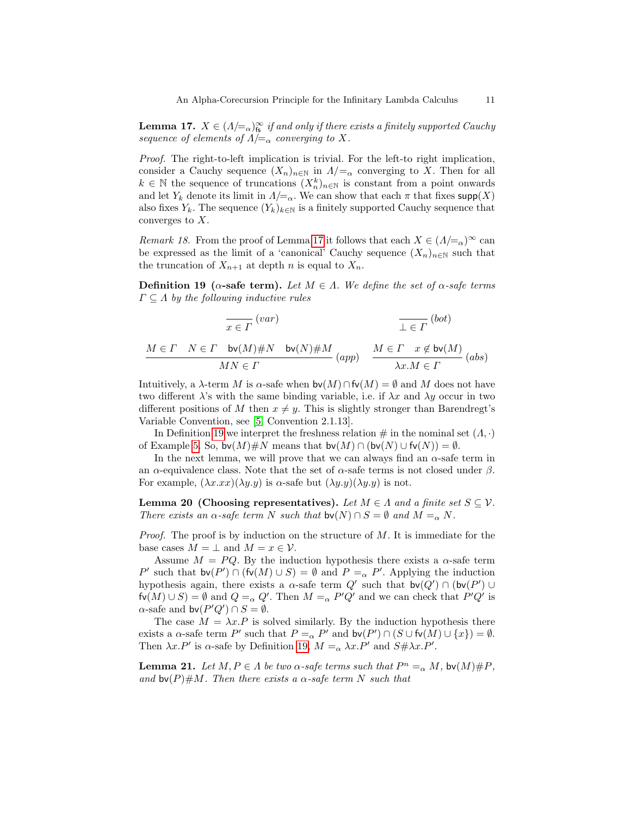**Lemma 17.**  $X \in (A/\equiv_{\alpha})^{\infty}_{fs}$  if and only if there exists a finitely supported Cauchy sequence of elements of  $\Lambda/\!\!=_{\alpha}$  converging to X.

Proof. The right-to-left implication is trivial. For the left-to right implication, consider a Cauchy sequence  $(X_n)_{n\in\mathbb{N}}$  in  $\Lambda/\mathbf{=}_{\alpha}$  converging to X. Then for all  $k \in \mathbb{N}$  the sequence of truncations  $(X_n^k)_{n \in \mathbb{N}}$  is constant from a point onwards and let  $Y_k$  denote its limit in  $\Lambda/\mathcal{L}_\alpha$ . We can show that each  $\pi$  that fixes supp(X) also fixes  $Y_k$ . The sequence  $(Y_k)_{k\in\mathbb{N}}$  is a finitely supported Cauchy sequence that converges to  $X$ .

<span id="page-10-3"></span>*Remark 18.* From the proof of Lemma [17](#page-9-0) it follows that each  $X \in (\Lambda/\mathbb{Z}_{\alpha})^{\infty}$  can be expressed as the limit of a 'canonical' Cauchy sequence  $(X_n)_{n\in\mathbb{N}}$  such that the truncation of  $X_{n+1}$  at depth n is equal to  $X_n$ .

<span id="page-10-0"></span>Definition 19 ( $\alpha$ -safe term). Let  $M \in \Lambda$ . We define the set of  $\alpha$ -safe terms  $\Gamma \subseteq \Lambda$  by the following inductive rules

$$
\frac{}{x \in \Gamma} (var)
$$
\n
$$
\frac{}{M \in \Gamma} N \in \Gamma \quad \text{bv}(M) \# N \quad \text{bv}(N) \# M}{MN \in \Gamma} (app)
$$
\n
$$
\frac{}{M \in \Gamma} x \notin \text{bv}(M)
$$
\n
$$
\frac{}{M \in \Gamma} x \notin \text{bv}(M)
$$
\n
$$
\frac{}{M \in \Gamma} (abs)
$$

Intuitively, a  $\lambda$ -term M is  $\alpha$ -safe when  $\mathsf{bv}(M) \cap \mathsf{fv}(M) = \emptyset$  and M does not have two different  $\lambda$ 's with the same binding variable, i.e. if  $\lambda x$  and  $\lambda y$  occur in two different positions of M then  $x \neq y$ . This is slightly stronger than Barendregt's Variable Convention, see [\[5,](#page-19-0) Convention 2.1.13].

In Definition [19](#page-10-0) we interpret the freshness relation  $\#$  in the nominal set  $(\Lambda, \cdot)$ of Example [5.](#page-6-0) So,  $\mathsf{bv}(M)\#N$  means that  $\mathsf{bv}(M) \cap (\mathsf{bv}(N) \cup \mathsf{fv}(N)) = \emptyset$ .

In the next lemma, we will prove that we can always find an  $\alpha$ -safe term in an  $\alpha$ -equivalence class. Note that the set of  $\alpha$ -safe terms is not closed under  $\beta$ . For example,  $(\lambda x.xx)(\lambda y. y)$  is  $\alpha$ -safe but  $(\lambda y. y)(\lambda y. y)$  is not.

<span id="page-10-1"></span>Lemma 20 (Choosing representatives). Let  $M \in \Lambda$  and a finite set  $S \subseteq V$ . There exists an  $\alpha$ -safe term N such that  $\mathsf{bv}(N) \cap S = \emptyset$  and  $M =_{\alpha} N$ .

*Proof.* The proof is by induction on the structure of  $M$ . It is immediate for the base cases  $M = \perp$  and  $M = x \in V$ .

Assume  $M = PQ$ . By the induction hypothesis there exists a  $\alpha$ -safe term P' such that  $\mathsf{bv}(P') \cap (\mathsf{fv}(M) \cup S) = \emptyset$  and  $P =_{\alpha} P'$ . Applying the induction hypothesis again, there exists a  $\alpha$ -safe term  $Q'$  such that  $\mathsf{bv}(Q') \cap (\mathsf{bv}(P') \cup$  $f\nu(M) \cup S$  =  $\emptyset$  and  $Q =_{\alpha} Q'$ . Then  $M =_{\alpha} P'Q'$  and we can check that  $P'Q'$  is  $\alpha$ -safe and  $\mathsf{bv}(P'Q') \cap S = \emptyset$ .

The case  $M = \lambda x.P$  is solved similarly. By the induction hypothesis there exists a  $\alpha$ -safe term P' such that  $P =_{\alpha} P'$  and  $\mathsf{bv}(P') \cap (S \cup \mathsf{fv}(M) \cup \{x\}) = \emptyset$ . Then  $\lambda x.P'$  is  $\alpha$ -safe by Definition [19,](#page-10-0)  $M =_{\alpha} \lambda x.P'$  and  $S \# \lambda x.P'$ .

<span id="page-10-2"></span>**Lemma 21.** Let  $M, P \in \Lambda$  be two  $\alpha$ -safe terms such that  $P^n =_{\alpha} M$ , bv $(M) \# P$ , and bv(P)#M. Then there exists a  $\alpha$ -safe term N such that

 $(1 - i)$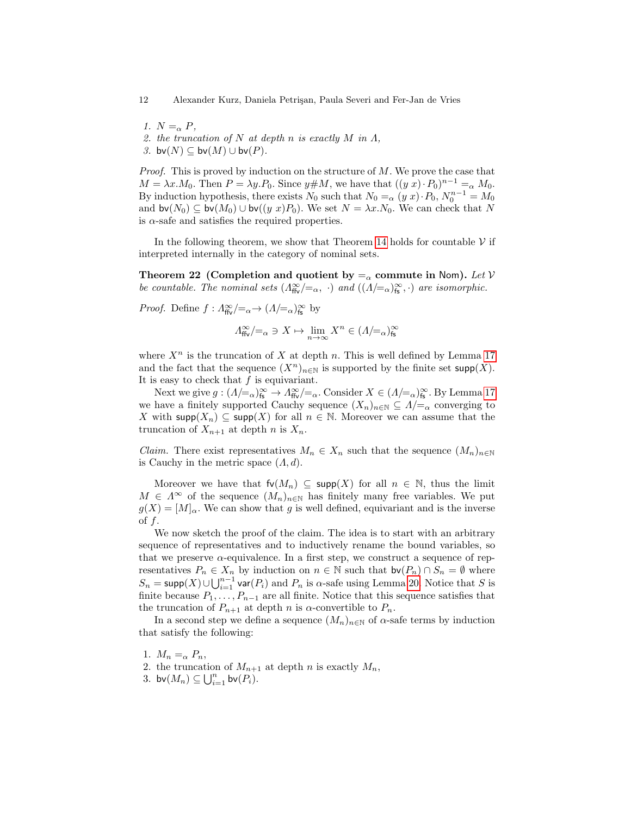12 Alexander Kurz, Daniela Petri¸san, Paula Severi and Fer-Jan de Vries

- 1.  $N = \alpha P$ ,
- 2. the truncation of N at depth n is exactly M in  $\Lambda$ ,
- 3. bv $(N) \subseteq$  bv $(M) \cup$  bv $(P)$ .

Proof. This is proved by induction on the structure of M. We prove the case that  $M = \lambda x.M_0$ . Then  $P = \lambda y.P_0$ . Since  $y \# M$ , we have that  $((y x) \cdot P_0)^{n-1} =_{\alpha} M_0$ . By induction hypothesis, there exists  $N_0$  such that  $N_0 = \alpha (y x) \cdot P_0$ ,  $N_0^{n-1} = M_0$ and  $\mathsf{bv}(N_0) \subseteq \mathsf{bv}(M_0) \cup \mathsf{bv}((y, x)P_0)$ . We set  $N = \lambda x.N_0$ . We can check that N is  $\alpha$ -safe and satisfies the required properties.

In the following theorem, we show that Theorem [14](#page-8-1) holds for countable  $V$  if interpreted internally in the category of nominal sets.

<span id="page-11-0"></span>Theorem 22 (Completion and quotient by  $=_{\alpha}$  commute in Nom). Let V be countable. The nominal sets  $(\Lambda_{\text{ffv}}^{\infty}/=_\alpha, \cdot)$  and  $((\Lambda/=_\alpha)_{\text{fs}}^{\infty}, \cdot)$  are isomorphic.

*Proof.* Define  $f: \Lambda_{\text{ffv}}^{\infty}/=_{\alpha} \to (\Lambda/=_{\alpha})_{\text{fs}}^{\infty}$  by

$$
\varLambda^{\infty}_{\text{ffv}}/{=_\alpha} \ni X \mapsto \lim_{n \to \infty} X^n \in (\varLambda/{=_\alpha})^{\infty}_{\text{fs}}
$$

where  $X^n$  is the truncation of X at depth n. This is well defined by Lemma [17](#page-9-0) and the fact that the sequence  $(X^n)_{n\in\mathbb{N}}$  is supported by the finite set supp $(X)$ . It is easy to check that  $f$  is equivariant.

Next we give  $g:(\Lambda/\models_\alpha)_{\text{fs}}^\infty\to\Lambda_{\text{ffv}}^\infty/\models_\alpha$ . Consider  $X\in (\Lambda/\models_\alpha)_{\text{fs}}^\infty$ . By Lemma [17](#page-9-0) we have a finitely supported Cauchy sequence  $(X_n)_{n\in\mathbb{N}}\subseteq \Lambda/_{\alpha}$  converging to X with supp $(X_n) \subseteq \text{supp}(X)$  for all  $n \in \mathbb{N}$ . Moreover we can assume that the truncation of  $X_{n+1}$  at depth n is  $X_n$ .

*Claim.* There exist representatives  $M_n \in X_n$  such that the sequence  $(M_n)_{n \in \mathbb{N}}$ is Cauchy in the metric space  $(\Lambda, d)$ .

Moreover we have that  $f\nu(M_n) \subseteq \text{supp}(X)$  for all  $n \in \mathbb{N}$ , thus the limit  $M \in \Lambda^{\infty}$  of the sequence  $(M_n)_{n \in \mathbb{N}}$  has finitely many free variables. We put  $g(X) = [M]_{\alpha}$ . We can show that g is well defined, equivariant and is the inverse of  $f$ .

We now sketch the proof of the claim. The idea is to start with an arbitrary sequence of representatives and to inductively rename the bound variables, so that we preserve  $\alpha$ -equivalence. In a first step, we construct a sequence of representatives  $P_n \in X_n$  by induction on  $n \in \mathbb{N}$  such that  $\mathsf{bv}(P_n) \cap S_n = \emptyset$  where  $S_n = \text{supp}(X) \cup \bigcup_{i=1}^{n-1} \text{var}(P_i)$  and  $P_n$  is  $\alpha$ -safe using Lemma [20.](#page-10-1) Notice that S is finite because  $P_1, \ldots, P_{n-1}$  are all finite. Notice that this sequence satisfies that the truncation of  $P_{n+1}$  at depth n is  $\alpha$ -convertible to  $P_n$ .

In a second step we define a sequence  $(M_n)_{n\in\mathbb{N}}$  of  $\alpha$ -safe terms by induction that satisfy the following:

1.  $M_n = \alpha P_n$ 

- 2. the truncation of  $M_{n+1}$  at depth n is exactly  $M_n$ ,
- 3. bv $(M_n) \subseteq \bigcup_{i=1}^n$  bv $(P_i)$ .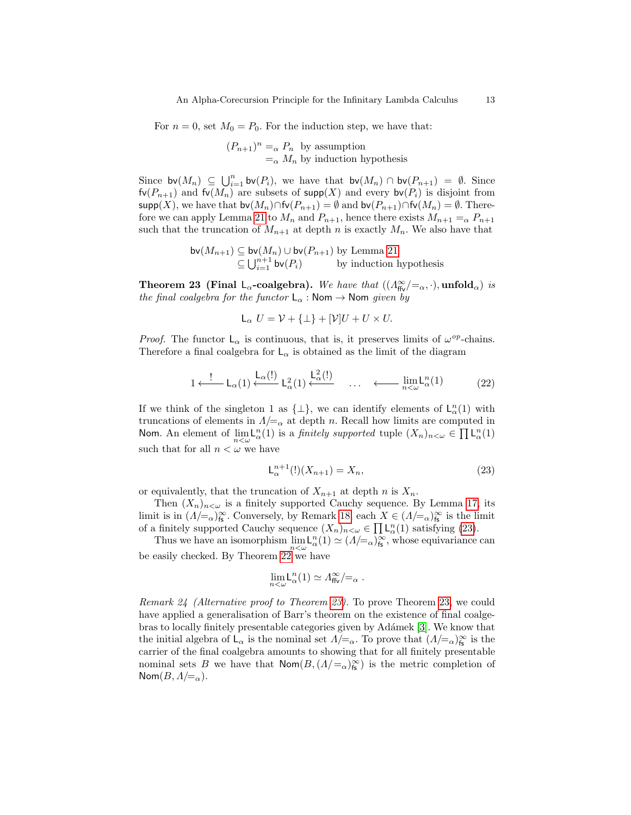For  $n = 0$ , set  $M_0 = P_0$ . For the induction step, we have that:

$$
(P_{n+1})^n =_\alpha P_n
$$
 by assumption  
 $=_\alpha M_n$  by induction hypothesis

Since  $\mathsf{bv}(M_n) \subseteq \bigcup_{i=1}^n \mathsf{bv}(P_i)$ , we have that  $\mathsf{bv}(M_n) \cap \mathsf{bv}(P_{n+1}) = \emptyset$ . Since  $f\nu(P_{n+1})$  and  $f\nu(M_n)$  are subsets of supp $(X)$  and every b $\nu(P_i)$  is disjoint from supp(X), we have that  $\mathsf{bv}(M_n) \cap \mathsf{fv}(P_{n+1}) = \emptyset$  and  $\mathsf{bv}(P_{n+1}) \cap \mathsf{fv}(M_n) = \emptyset$ . There-fore we can apply Lemma [21](#page-10-2) to  $M_n$  and  $P_{n+1}$ , hence there exists  $M_{n+1} =_{\alpha} P_{n+1}$ such that the truncation of  $M_{n+1}$  at depth n is exactly  $M_n$ . We also have that

$$
\mathsf{bv}(M_{n+1}) \subseteq \mathsf{bv}(M_n) \cup \mathsf{bv}(P_{n+1}) \text{ by Lemma 21}
$$
  

$$
\subseteq \bigcup_{i=1}^{n+1} \mathsf{bv}(P_i) \qquad \text{by induction hypothesis}
$$

<span id="page-12-0"></span>**Theorem 23 (Final L<sub>α</sub>-coalgebra).** We have that  $((\Lambda_{\text{ffv}}^{\infty}/=_{\alpha}, \cdot), \text{unfold}_{\alpha})$  is the final coalgebra for the functor  $L_{\alpha}$ : Nom  $\rightarrow$  Nom given by

$$
L_{\alpha} U = V + {\{\perp\}} + [V]U + U \times U.
$$

*Proof.* The functor  $L_{\alpha}$  is continuous, that is, it preserves limits of  $\omega^{op}$ -chains. Therefore a final coalgebra for  $\mathsf{L}_{\alpha}$  is obtained as the limit of the diagram

$$
1 \xleftarrow{\mathsf{!}} \mathsf{L}_{\alpha}(1) \xleftarrow{\mathsf{L}_{\alpha}(1)} \mathsf{L}_{\alpha}^{2}(1) \xleftarrow{\mathsf{L}_{\alpha}^{2}(\mathsf{!})} \cdots \xleftarrow{\mathsf{!}} \lim_{n < \omega} \mathsf{L}_{\alpha}^{n}(1) \tag{22}
$$

If we think of the singleton 1 as  $\{\perp\}$ , we can identify elements of  $\mathsf{L}^n_\alpha(1)$  with truncations of elements in  $\Lambda/\mathcal{L}_{\alpha}$  at depth n. Recall how limits are computed in Nom. An element of  $\lim_{n \leq \omega} L_{\alpha}^{n}(1)$  is a *finitely supported* tuple  $(X_{n})_{n \leq \omega} \in \prod L_{\alpha}^{n}(1)$ such that for all  $n < \omega$  we have

$$
L_{\alpha}^{n+1}(!)(X_{n+1}) = X_n,
$$
\n(23)

or equivalently, that the truncation of  $X_{n+1}$  at depth n is  $X_n$ .

Then  $(X_n)_{n\lt\omega}$  is a finitely supported Cauchy sequence. By Lemma [17,](#page-9-0) its limit is in  $(A/\equiv_\alpha)_{\text{fs}}^{\infty}$ . Conversely, by Remark [18,](#page-10-3) each  $X \in (A/\equiv_\alpha)_{\text{fs}}^{\infty}$  is the limit of a finitely supported Cauchy sequence  $(X_n)_{n \leq \omega} \in \prod \mathcal{L}^n_{\alpha}(1)$  satisfying [\(23\)](#page-0-0).

Thus we have an isomorphism  $\lim_{n \to \infty} L_{\alpha}^{n}(1) \simeq (1/\epsilon_{\alpha})_{\mathbf{fs}}^{\infty}$ , whose equivariance can be easily checked. By Theorem [22](#page-11-0) we have

$$
\lim_{n<\omega} {\mathsf{L}}^n_\alpha(1) \simeq \varLambda^\infty_{\mathsf{ffv}}/{=_\alpha} \;.
$$

Remark 24 (Alternative proof to Theorem [23\)](#page-12-0). To prove Theorem [23,](#page-12-0) we could have applied a generalisation of Barr's theorem on the existence of final coalge-bras to locally finitely presentable categories given by Adámek [\[3\]](#page-19-16). We know that the initial algebra of  $\mathsf{L}_{\alpha}$  is the nominal set  $\Lambda/\!\!=_{\alpha}$ . To prove that  $(\Lambda/\!\!=_{\alpha})^{\infty}_{\mathsf{fs}}$  is the carrier of the final coalgebra amounts to showing that for all finitely presentable nominal sets B we have that  $\mathsf{Nom}(B,(A/\mathsf{=}_{\alpha})_{\mathsf{fs}}^{\infty})$  is the metric completion of Nom $(B, \Lambda/\equiv_\alpha)$ .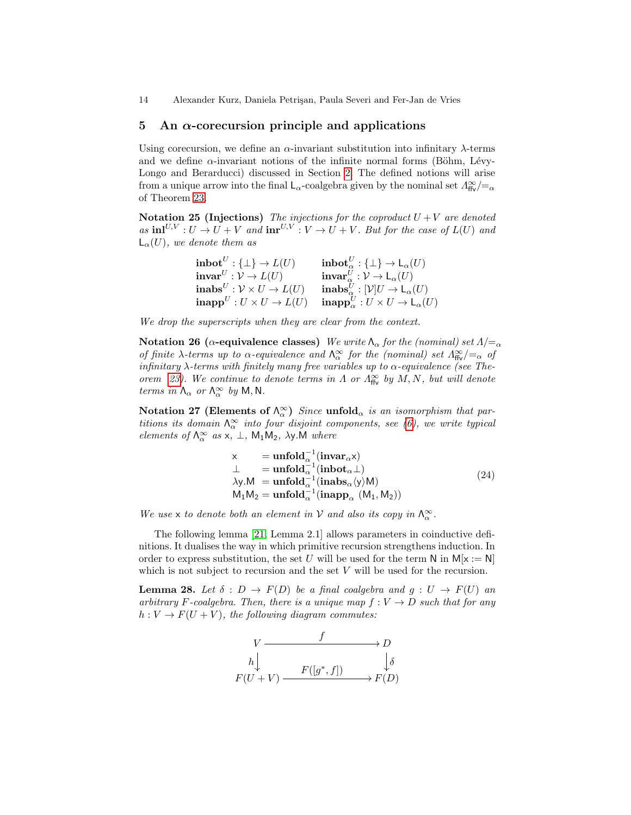14 Alexander Kurz, Daniela Petri¸san, Paula Severi and Fer-Jan de Vries

#### <span id="page-13-0"></span>5 An  $\alpha$ -corecursion principle and applications

Using corecursion, we define an  $\alpha$ -invariant substitution into infinitary  $\lambda$ -terms and we define  $\alpha$ -invariant notions of the infinite normal forms (Böhm, Lévy-Longo and Berarducci) discussed in Section [2.](#page-2-1) The defined notions will arise from a unique arrow into the final  $\mathsf{L}_{\alpha}$ -coalgebra given by the nominal set  $\Lambda_{\text{ffv}}^{\infty}/=_\alpha$ of Theorem [23.](#page-12-0)

Notation 25 (Injections) The injections for the coproduct  $U + V$  are denoted as  $\text{inl}^{U,V}: U \to U + V$  and  $\text{inr}^{U,V}: V \to U + V$ . But for the case of  $L(U)$  and  $\mathsf{L}_{\alpha}(U)$ , we denote them as

| $\text{inbot}^U: \{\perp\} \to L(U)$             | $\textbf{inbot}_{\alpha}^{U}: {\{\bot\}} \to {\sf L}_{\alpha}(U)$          |
|--------------------------------------------------|----------------------------------------------------------------------------|
| $\mathbf{invar}^U: \mathcal{V} \to L(U)$         | $\mathbf{invar}^U_{\alpha}: \mathcal{V} \to \mathsf{L}_{\alpha}(U)$        |
| $inabs^U: \mathcal{V} \times U \rightarrow L(U)$ | $\mathbf{inabs}_{\alpha}^{U} : [\mathcal{V}]U \to \mathsf{L}_{\alpha}(U)$  |
| $\textbf{inapp}^U: U \times U \rightarrow L(U)$  | $\textbf{inapp}_{\alpha}^U: U \times U \rightarrow \mathsf{L}_{\alpha}(U)$ |

We drop the superscripts when they are clear from the context.

Notation 26 (α-equivalence classes) We write  $\Lambda_{\alpha}$  for the (nominal) set  $\Lambda/\mathbb{Z}_{\alpha}$ of finite  $\lambda$ -terms up to  $\alpha$ -equivalence and  $\Lambda_{\alpha}^{\infty}$  for the (nominal) set  $\Lambda_{\text{ffv}}^{\infty}/=_\alpha$  of infinitary  $\lambda$ -terms with finitely many free variables up to  $\alpha$ -equivalence (see The-orem [23\)](#page-12-0). We continue to denote terms in  $\Lambda$  or  $\Lambda_{\text{ffv}}^{\infty}$  by  $M, N$ , but will denote terms in  $\Lambda_{\alpha}$  or  $\Lambda_{\alpha}^{\infty}$  by M, N.

Notation 27 (Elements of  $\Lambda_{\alpha}^{\infty}$ ) Since unfold<sub> $\alpha$ </sub> is an isomorphism that partitions its domain  $\Lambda_{\alpha}^{\infty}$  into four disjoint components, see [\(6\)](#page-0-0), we write typical elements of  $\Lambda_{\alpha}^{\infty}$  as  $x, \perp$ ,  $M_1M_2$ ,  $\lambda y.M$  where

$$
\times \quad = \text{unfold}_{\alpha}^{-1}(\text{invar}_{\alpha} \times)
$$
\n
$$
\perp \quad = \text{unfold}_{\alpha}^{-1}(\text{inbot}_{\alpha} \perp)
$$
\n
$$
\lambda y.M = \text{unfold}_{\alpha}^{-1}(\text{inabs}_{\alpha} \langle y \rangle M)
$$
\n
$$
M_1 M_2 = \text{unfold}_{\alpha}^{-1}(\text{inapp}_{\alpha} (M_1, M_2))
$$
\n(24)

We use x to denote both an element in  $\mathcal V$  and also its copy in  $\Lambda_\alpha^\infty$ .

The following lemma [\[21,](#page-19-17) Lemma 2.1] allows parameters in coinductive definitions. It dualises the way in which primitive recursion strengthens induction. In order to express substitution, the set U will be used for the term N in  $M[x := N]$ which is not subject to recursion and the set  $V$  will be used for the recursion.

<span id="page-13-1"></span>**Lemma 28.** Let  $\delta : D \to F(D)$  be a final coalgebra and  $g : U \to F(U)$  and arbitrary F-coalgebra. Then, there is a unique map  $f: V \to D$  such that for any  $h: V \to F(U+V)$ , the following diagram commutes:

$$
V \xrightarrow{f} D
$$
  
\n
$$
h \downarrow \qquad F([g^*, f]) \xrightarrow{f} F(D)
$$
  
\n
$$
F(U + V) \xrightarrow{F([g^*, f])} F(D)
$$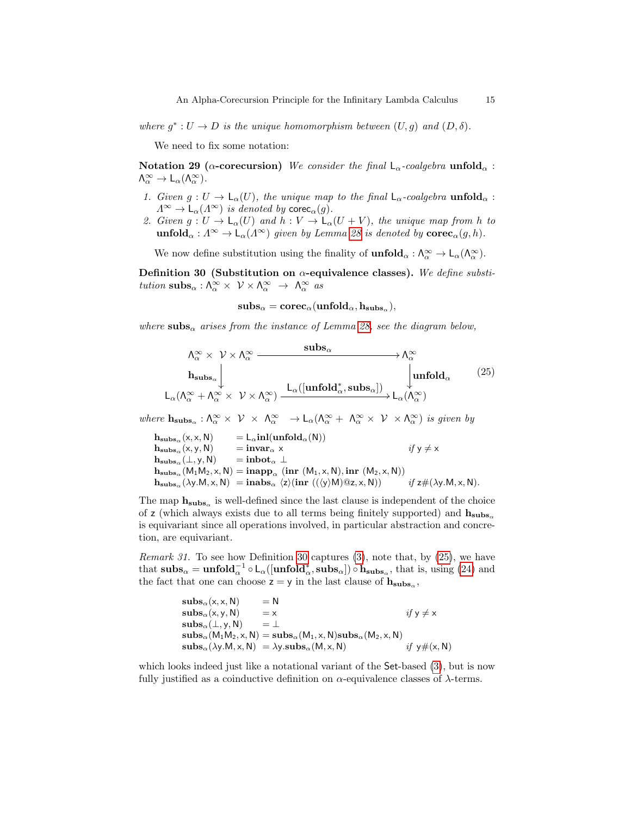where  $g^*: U \to D$  is the unique homomorphism between  $(U, g)$  and  $(D, \delta)$ .

We need to fix some notation:

<span id="page-14-1"></span>Notation 29 ( $\alpha$ -corecursion) We consider the final  $\mathsf{L}_{\alpha}$ -coalgebra unfold $_{\alpha}$ :  $\Lambda_{\alpha}^{\infty} \to L_{\alpha}(\Lambda_{\alpha}^{\infty}).$ 

- 1. Given  $g: U \to L_{\alpha}(U)$ , the unique map to the final  $L_{\alpha}$ -coalgebra unfold<sub> $\alpha$ </sub>:  $\Lambda^{\infty} \to \mathsf{L}_{\alpha}(\Lambda^{\infty})$  is denoted by corec<sub>α</sub>(g).
- 2. Given  $g: U \to \mathsf{L}_{\alpha}(U)$  and  $h: V \to \mathsf{L}_{\alpha}(U + V)$ , the unique map from h to  $\text{unfold}_{\alpha}: \Lambda^{\infty} \to \mathsf{L}_{\alpha}(\Lambda^{\infty})$  given by Lemma [28](#page-13-1) is denoted by  $\text{corec}_{\alpha}(g, h)$ .

We now define substitution using the finality of  $\text{unfold}_{\alpha}: \Lambda_{\alpha}^{\infty} \to \mathsf{L}_{\alpha}(\Lambda_{\alpha}^{\infty})$ .

<span id="page-14-0"></span>Definition 30 (Substitution on  $\alpha$ -equivalence classes). We define substitution  $\text{subs}_{\alpha}: \Lambda_{\alpha}^{\infty} \times V \times \Lambda_{\alpha}^{\infty} \rightarrow \Lambda_{\alpha}^{\infty}$  as

$$
subs_{\alpha} = \mathbf{corec}_{\alpha}(\mathbf{unfold}_{\alpha}, \mathbf{h}_{\mathbf{subs}_{\alpha}}),
$$

where subs<sub>α</sub> arises from the instance of Lemma [28,](#page-13-1) see the diagram below,

$$
\Lambda_{\alpha}^{\infty} \times \mathcal{V} \times \Lambda_{\alpha}^{\infty} \xrightarrow{\textbf{subs}_{\alpha}} \Lambda_{\alpha}^{\infty}
$$
\n
$$
\mathbf{h}_{\textbf{subs}_{\alpha}} \downarrow \qquad \qquad \downarrow \qquad \qquad \downarrow \qquad \qquad \downarrow \qquad \qquad \downarrow \qquad \qquad \downarrow \qquad \qquad \downarrow \qquad \qquad \downarrow \qquad \qquad \downarrow \qquad \qquad \downarrow \qquad \qquad \downarrow \qquad \qquad \downarrow \qquad \qquad \downarrow \qquad \qquad \downarrow \qquad \downarrow \qquad \qquad \downarrow \qquad \downarrow \qquad \downarrow \qquad \downarrow \qquad \downarrow \qquad \downarrow \qquad \qquad \downarrow \qquad \downarrow \qquad \downarrow \qquad \downarrow \qquad \downarrow \qquad \downarrow \qquad \downarrow \qquad \downarrow \qquad \downarrow \qquad \downarrow \qquad \downarrow \qquad \downarrow \qquad \downarrow \qquad \downarrow \qquad \downarrow \qquad \downarrow \qquad \downarrow \qquad \downarrow \qquad \downarrow \qquad \downarrow \qquad \downarrow \qquad \downarrow \qquad \downarrow \qquad \downarrow \qquad \downarrow \qquad \downarrow \qquad \downarrow \qquad \downarrow \qquad \downarrow \qquad \downarrow \qquad \downarrow \qquad \downarrow \qquad \downarrow \qquad \downarrow \qquad \downarrow \qquad \downarrow \qquad \downarrow \qquad \downarrow \qquad \downarrow \qquad \downarrow \qquad \downarrow \qquad \downarrow \qquad \downarrow \qquad \downarrow \qquad \downarrow \qquad \downarrow \qquad \downarrow \qquad \downarrow \qquad \downarrow \qquad \downarrow \qquad \downarrow \qquad \downarrow \qquad \downarrow \qquad \downarrow \qquad \downarrow \qquad \downarrow \qquad \downarrow \qquad \downarrow \qquad \downarrow \qquad \downarrow \qquad \downarrow \qquad \downarrow \qquad \downarrow \qquad \downarrow \qquad \downarrow \qquad \downarrow \qquad \downarrow \qquad \downarrow \qquad \downarrow \qquad \downarrow \qquad \downarrow \qquad \downarrow \qquad \downarrow \qquad \downarrow \qquad \downarrow \qquad \downarrow \qquad \downarrow \qquad \downarrow \qquad \downarrow \qquad \downarrow \qquad \downarrow \qquad \downarrow \qquad \downarrow \qquad \downarrow \qquad \downarrow \qquad \
$$

where  $h_{\textbf{subs}_{\alpha}} : \Lambda_{\alpha}^{\infty} \times \mathcal{V} \times \Lambda_{\alpha}^{\infty} \to L_{\alpha}(\Lambda_{\alpha}^{\infty} + \Lambda_{\alpha}^{\infty} \times \mathcal{V} \times \Lambda_{\alpha}^{\infty})$  is given by

 $h_{\text{subs}_{\alpha}}(x, x, N) = L_{\alpha} \text{inl}(\text{unfold}_{\alpha}(N))$ <br>  $h_{\text{subs}_{\alpha}}(x, y, N) = \text{invar}_{\alpha} x$  $h_{\text{subs}_\alpha}(x, y, N)$  =  $\text{invar}_\alpha x$  if  $y \neq x$ <br>  $h_{\text{subs}_\alpha}(\perp, y, N)$  =  $\text{inbot}_\alpha \perp$  ${\bf h_{subs}}_\alpha(\bot, {\sf y}, {\sf N})$  $h_{\mathbf{subs}_{\alpha}}(M_1M_2, x, N) = \mathbf{inapp}_{\alpha}$  (inr  $(M_1, x, N), \mathbf{inr}$   $(M_2, x, N)$ )  $\mathbf{h}_{\mathbf{subs}_{\alpha}}(\lambda y.M, x, N) = \mathbf{inabs}_{\alpha} \langle z \rangle(\mathbf{inr} ((\langle y \rangle M) \mathbb{Q} z, x, N))$  if  $z \# (\lambda y.M, x, N)$ .

The map  $h_{subs_\alpha}$  is well-defined since the last clause is independent of the choice of z (which always exists due to all terms being finitely supported) and  $h_{subs}$ is equivariant since all operations involved, in particular abstraction and concretion, are equivariant.

*Remark 31.* To see how Definition [30](#page-14-0) captures  $(3)$ , note that, by  $(25)$ , we have that  $\mathbf{subs}_{\alpha} = \mathbf{unfold}_{\alpha}^{-1} \circ \mathsf{L}_{\alpha}([\mathbf{unfold}_{\alpha}^*, \mathbf{subs}_{\alpha}]) \circ \mathbf{h_{subs}_{\alpha}}, \text{ that is, using (24) and}$  $\mathbf{subs}_{\alpha} = \mathbf{unfold}_{\alpha}^{-1} \circ \mathsf{L}_{\alpha}([\mathbf{unfold}_{\alpha}^*, \mathbf{subs}_{\alpha}]) \circ \mathbf{h_{subs}_{\alpha}}, \text{ that is, using (24) and}$  $\mathbf{subs}_{\alpha} = \mathbf{unfold}_{\alpha}^{-1} \circ \mathsf{L}_{\alpha}([\mathbf{unfold}_{\alpha}^*, \mathbf{subs}_{\alpha}]) \circ \mathbf{h_{subs}_{\alpha}}, \text{ that is, using (24) and}$ the fact that one can choose  $z = y$  in the last clause of  $h_{\text{subs}_\alpha}$ ,

$$
subs_{\alpha}(x, x, N) = N
$$
  
\n
$$
subs_{\alpha}(x, y, N) = x
$$
  
\n
$$
subs_{\alpha}(\bot, y, N) = \bot
$$
  
\n
$$
subs_{\alpha}(\bot, y, N) = subs_{\alpha}(M_1, x, N)subs_{\alpha}(M_2, x, N)
$$
  
\n
$$
subs_{\alpha}(\lambda y.M, x, N) = \lambda y.subs_{\alpha}(M, x, N)
$$
  
\n
$$
if y \neq (x, N)
$$

which looks indeed just like a notational variant of the Set-based  $(3)$ , but is now fully justified as a coinductive definition on  $\alpha$ -equivalence classes of  $\lambda$ -terms.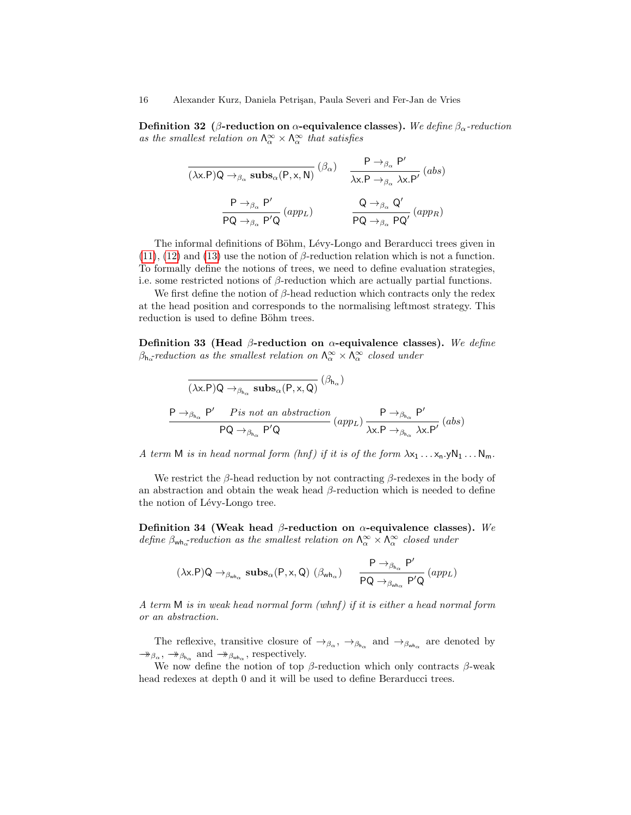Definition 32 (β-reduction on  $\alpha$ -equivalence classes). We define  $\beta_{\alpha}$ -reduction as the smallest relation on  $\Lambda_{\alpha}^{\infty} \times \Lambda_{\alpha}^{\infty}$  that satisfies

$$
\frac{\mathsf{P} \to_{\beta_{\alpha}} \mathsf{P}'}{(\lambda x.\mathsf{P})\mathsf{Q} \to_{\beta_{\alpha}} \mathsf{subs}_{\alpha}(\mathsf{P}, x, \mathsf{N})} (\beta_{\alpha}) \quad \frac{\mathsf{P} \to_{\beta_{\alpha}} \mathsf{P}'}{\lambda x.\mathsf{P} \to_{\beta_{\alpha}} \lambda x.\mathsf{P}'} \, (abs)
$$
\n
$$
\frac{\mathsf{P} \to_{\beta_{\alpha}} \mathsf{P}'}{\mathsf{P}\mathsf{Q} \to_{\beta_{\alpha}} \mathsf{P}'\mathsf{Q}} \, (app_L) \quad \frac{\mathsf{Q} \to_{\beta_{\alpha}} \mathsf{Q}'}{\mathsf{P}\mathsf{Q} \to_{\beta_{\alpha}} \mathsf{P}\mathsf{Q}'} \, (app_R)
$$

The informal definitions of Böhm, Lévy-Longo and Berarducci trees given in  $(11)$ ,  $(12)$  and  $(13)$  use the notion of  $\beta$ -reduction relation which is not a function. To formally define the notions of trees, we need to define evaluation strategies, i.e. some restricted notions of  $\beta$ -reduction which are actually partial functions.

We first define the notion of  $\beta$ -head reduction which contracts only the redex at the head position and corresponds to the normalising leftmost strategy. This reduction is used to define Böhm trees.

Definition 33 (Head  $\beta$ -reduction on  $\alpha$ -equivalence classes). We define  $\beta_{h_{\alpha}}$ reduction as the smallest relation on  $\Lambda_{\alpha}^{\infty} \times \Lambda_{\alpha}^{\infty}$  closed under

$$
\frac{\overline{(\lambda x.P)Q \rightarrow_{\beta_{h_{\alpha}}} \text{subs}_{\alpha}(P, x, Q)}}{P \rightarrow_{\beta_{h_{\alpha}}} P' \quad \text{Pis not an abstraction}} \frac{P \rightarrow_{\beta_{h_{\alpha}}} P'}{(\text{app}_L) \frac{P \rightarrow_{\beta_{h_{\alpha}}} P'}{\lambda x.P \rightarrow_{\beta_{h_{\alpha}}} \lambda x.P'} (\text{abs})}
$$

A term M is in head normal form  $(hnf)$  if it is of the form  $\lambda x_1 \ldots x_n yN_1 \ldots N_m$ .

We restrict the  $\beta$ -head reduction by not contracting  $\beta$ -redexes in the body of an abstraction and obtain the weak head  $\beta$ -reduction which is needed to define the notion of Lévy-Longo tree.

Definition 34 (Weak head  $\beta$ -reduction on  $\alpha$ -equivalence classes). We define  $\beta_{\text{wh}_\alpha}$ -reduction as the smallest relation on  $\Lambda_\alpha^{\infty} \times \Lambda_\alpha^{\infty}$  closed under

$$
(\lambda x.P)Q \rightarrow_{\beta_{wh_\alpha}} \textbf{subs}_\alpha(P,x,Q) \,\, (\beta_{wh_\alpha}) \quad \ \ \frac{P\rightarrow_{\beta_{h_\alpha}}P'}{PQ\rightarrow_{\beta_{wh_\alpha}}P'Q} \,(app_L)
$$

A term  $M$  is in weak head normal form (whnf) if it is either a head normal form or an abstraction.

The reflexive, transitive closure of  $\rightarrow_{\beta_{\alpha}}$ ,  $\rightarrow_{\beta_{h_{\alpha}}}$  and  $\rightarrow_{\beta_{wh_{\alpha}}}$  are denoted by  $\rightarrow$  $\beta_{\alpha}$ ,  $\rightarrow$  $\beta_{h_{\alpha}}$  and  $\rightarrow$  $\beta_{w h_{\alpha}}$ , respectively.

We now define the notion of top  $\beta$ -reduction which only contracts  $\beta$ -weak head redexes at depth 0 and it will be used to define Berarducci trees.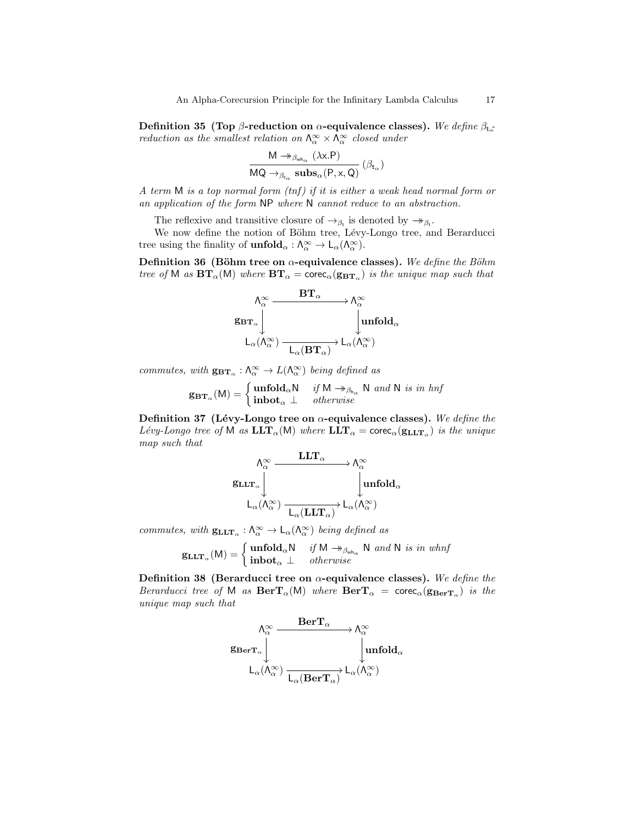Definition 35 (Top β-reduction on  $\alpha$ -equivalence classes). We define  $\beta_{\mathsf{t}_\alpha}$ reduction as the smallest relation on  $\Lambda_{\alpha}^{\infty} \times \Lambda_{\alpha}^{\infty}$  closed under

$$
\frac{\mathsf{M} \twoheadrightarrow_{\beta_{\mathsf{wh}_\alpha}} (\lambda \mathsf{x}.\mathsf{P})}{\mathsf{MQ} \twoheadrightarrow_{\beta_{\mathsf{t}_\alpha}} \mathsf{subs}_\alpha(\mathsf{P}, \mathsf{x}, \mathsf{Q})} (\beta_{\mathsf{t}_\alpha})
$$

A term  $M$  is a top normal form  $(tnf)$  if it is either a weak head normal form or an application of the form NP where N cannot reduce to an abstraction.

The reflexive and transitive closure of  $\rightarrow_{\beta_t}$  is denoted by  $\rightarrow_{\beta_t}$ .

We now define the notion of Böhm tree, Lévy-Longo tree, and Berarducci tree using the finality of  $\text{unfold}_{\alpha}: \Lambda_{\alpha}^{\infty} \to L_{\alpha}(\Lambda_{\alpha}^{\infty}).$ 

Definition 36 (Böhm tree on  $\alpha$ -equivalence classes). We define the Böhm tree of M as  $BT_\alpha(M)$  where  $BT_\alpha = \text{core}_\alpha(g_{BT_\alpha})$  is the unique map such that

$$
\begin{CD} \Lambda_{\alpha}^{\infty} & \xrightarrow{\mathbf{BT}_{\alpha}} \Lambda_{\alpha}^{\infty} \\ \mathbf{g}_{\mathbf{BT}_{\alpha}} \Bigg\downarrow & \qquad \qquad \downarrow \\ \mathsf{L}_{\alpha}(\Lambda_{\alpha}^{\infty}) \xrightarrow[\mathsf{L}_{\alpha}(\mathbf{BT}_{\alpha})]{} \mathsf{L}_{\alpha}(\Lambda_{\alpha}^{\infty}) \end{CD}
$$

commutes, with  $\mathbf{g}_{\mathbf{BT\alpha}} : \Lambda_\alpha^\infty \to L(\Lambda_\alpha^\infty)$  being defined as

$$
\mathbf{g}_{\mathbf{B}\mathbf{T}_{\alpha}}(\mathsf{M}) = \begin{cases} \textbf{unfold}_{\alpha}\mathsf{N} & \text{if } \mathsf{M} \rightarrow_{\beta_{\mathsf{h}_{\alpha}}} \mathsf{N} \text{ and } \mathsf{N} \text{ is in } \mathsf{hnf} \\ \textbf{inbot}_{\alpha} \perp & \text{otherwise} \end{cases}
$$

Definition 37 (Lévy-Longo tree on  $\alpha$ -equivalence classes). We define the Lévy-Longo tree of M as  $\mathbf{LLT}_{\alpha}(\mathsf{M})$  where  $\mathbf{LLT}_{\alpha} = \mathbf{corec}_{\alpha}(\mathbf{g}_{\mathbf{LLT}_{\alpha}})$  is the unique map such that

$$
\begin{array}{ccc}\n&\Lambda_{\alpha}^{\infty} & & \mathbf{LLT}_{\alpha} \\
& \downarrow & & \downarrow \\
& & \downarrow & & \downarrow \\
& & \downarrow & & \downarrow \\
& & \downarrow & & \downarrow \\
& & \downarrow & & \downarrow \\
& & \downarrow & & \downarrow \\
& & \downarrow & & \downarrow \\
& & \downarrow & & \downarrow \\
& & \downarrow & & \downarrow \\
& & \downarrow & & \downarrow \\
& & \downarrow & & \downarrow \\
& & \downarrow & & \downarrow \\
& & \downarrow & & \downarrow \\
& & \downarrow & & \downarrow \\
& & \downarrow & & \downarrow \\
& & \downarrow & & \downarrow \\
& & \downarrow & & \downarrow \\
& & \downarrow & & \downarrow \\
& & \downarrow & & \downarrow \\
& & \downarrow & & \downarrow \\
& & \downarrow & & \downarrow \\
& & \downarrow & & \downarrow \\
& & \downarrow & & \downarrow \\
& & \downarrow & & \downarrow \\
& & \downarrow & & \downarrow \\
& & \downarrow & & \downarrow \\
& & \downarrow & & \downarrow \\
& & \downarrow & & \downarrow \\
& & \downarrow & & \downarrow \\
& & \downarrow & & \downarrow \\
& & \downarrow & & \downarrow \\
& & \downarrow & & \downarrow \\
& & \downarrow & & \downarrow \\
& & \downarrow & & \downarrow \\
& & \downarrow & & \downarrow \\
& & \downarrow & & \downarrow \\
& & \downarrow & & \downarrow \\
& & \downarrow & & \downarrow \\
& & \downarrow & & \downarrow \\
& & \downarrow & & \downarrow \\
& & \downarrow & & \downarrow \\
& & \downarrow & & \downarrow \\
& & \downarrow & & \downarrow \\
& & \downarrow & & \downarrow \\
& & \downarrow & & \downarrow \\
& & \downarrow & & \downarrow \\
& & \downarrow & & \downarrow \\
& & \downarrow & & \downarrow \\
& & \downarrow & & \downarrow \\
& & \downarrow & & \downarrow \\
& & \downarrow & & \downarrow \\
& & \downarrow & & \downarrow \\
& & \downarrow & & \downarrow \\
& & \downarrow & & \downarrow \\
& & \downarrow & & \downarrow \\
& & \downarrow & & \downarrow \\
& & \downarrow & & \downarrow \\
& & \downarrow & & \downarrow \\
& & \downarrow & & \downarrow \\
& & \downarrow & & \downarrow \\
& & \downarrow & & \downarrow \\
& & \downarrow & & \downarrow \\
& & \downarrow & & \downarrow \\
& & \downarrow & & \downarrow \\
& & \downarrow & & \downarrow \\
& & \downarrow & & \downarrow \\
& &
$$

commutes, with  $g_{LLT_\alpha} : \Lambda_\alpha^{\infty} \to L_\alpha(\Lambda_\alpha^{\infty})$  being defined as

$$
\operatorname{GLtr}_{\alpha}(M) = \begin{cases} \textbf{unfold}_{\alpha}N & \text{if } M \rightarrow_{\beta_{wh_{\alpha}}} N \text{ and } N \text{ is in whnf} \\ \textbf{inbot}_{\alpha} \perp & \text{otherwise} \end{cases}
$$

Definition 38 (Berarducci tree on  $\alpha$ -equivalence classes). We define the Berarducci tree of M as  $\text{BerT}_{\alpha}(\text{M})$  where  $\text{BerT}_{\alpha} = \text{corec}_{\alpha}(\text{g}_{\text{BerT}_{\alpha}})$  is the unique map such that

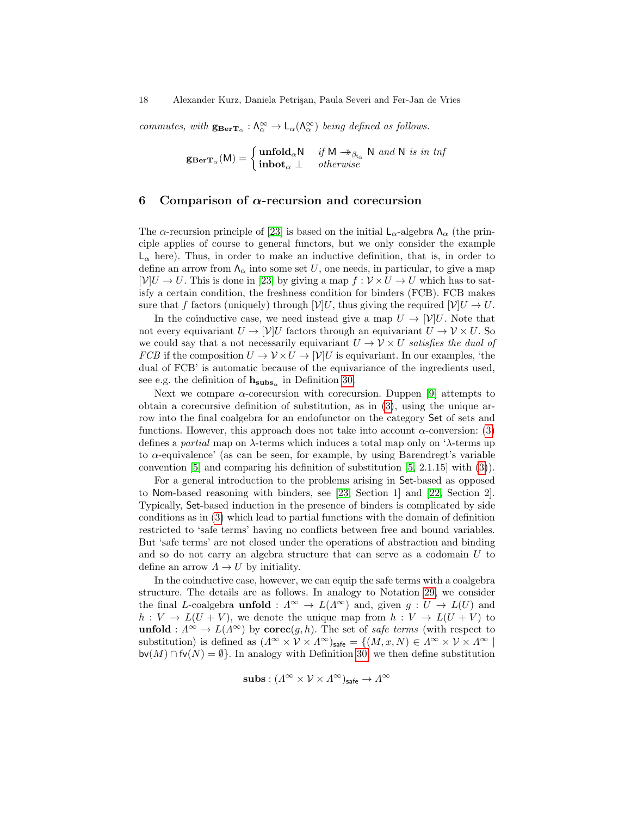commutes, with  $g_{\text{BerT}_{\alpha}} : \Lambda_{\alpha}^{\infty} \to L_{\alpha}(\Lambda_{\alpha}^{\infty})$  being defined as follows.

$$
\mathbf{g}_{\mathbf{BerT}_{\alpha}}(\mathsf{M}) = \begin{cases} \mathbf{unfold}_{\alpha} \mathsf{N} & \text{if } \mathsf{M} \to_{\beta_{\mathsf{t}_{\alpha}}} \mathsf{N} \text{ and } \mathsf{N} \text{ is in } \mathsf{tnf} \\ \mathbf{inbot}_{\alpha} \perp & \text{otherwise} \end{cases}
$$

#### <span id="page-17-0"></span>6 Comparison of  $\alpha$ -recursion and corecursion

The  $\alpha$ -recursion principle of [\[23\]](#page-19-5) is based on the initial  $\mathsf{L}_{\alpha}$ -algebra  $\Lambda_{\alpha}$  (the principle applies of course to general functors, but we only consider the example  $\mathsf{L}_{\alpha}$  here). Thus, in order to make an inductive definition, that is, in order to define an arrow from  $\Lambda_{\alpha}$  into some set U, one needs, in particular, to give a map  $[V]U \to U$ . This is done in [\[23\]](#page-19-5) by giving a map  $f: V \times U \to U$  which has to satisfy a certain condition, the freshness condition for binders (FCB). FCB makes sure that f factors (uniquely) through  $[\mathcal{V}]U$ , thus giving the required  $[\mathcal{V}]U \to U$ .

In the coinductive case, we need instead give a map  $U \to |\mathcal{V}|U$ . Note that not every equivariant  $U \to |\mathcal{V}| U$  factors through an equivariant  $U \to \mathcal{V} \times U$ . So we could say that a not necessarily equivariant  $U \to V \times U$  satisfies the dual of FCB if the composition  $U \to \mathcal{V} \times U \to [\mathcal{V}]$  is equivariant. In our examples, 'the dual of FCB' is automatic because of the equivariance of the ingredients used, see e.g. the definition of  $h_{\text{subs}_\alpha}$  in Definition [30.](#page-14-0)

Next we compare  $\alpha$ -corecursion with corecursion. Duppen [\[9\]](#page-19-18) attempts to obtain a corecursive definition of substitution, as in [\(3\)](#page-0-0), using the unique arrow into the final coalgebra for an endofunctor on the category Set of sets and functions. However, this approach does not take into account  $\alpha$ -conversion: [\(3\)](#page-0-0) defines a *partial* map on  $\lambda$ -terms which induces a total map only on  $\lambda$ -terms up to α-equivalence' (as can be seen, for example, by using Barendregt's variable convention  $[5]$  and comparing his definition of substitution  $[5, 2.1.15]$  $[5, 2.1.15]$  with  $(3)$ ).

For a general introduction to the problems arising in Set-based as opposed to Nom-based reasoning with binders, see [\[23,](#page-19-5) Section 1] and [\[22,](#page-19-15) Section 2]. Typically, Set-based induction in the presence of binders is complicated by side conditions as in [\(3\)](#page-0-0) which lead to partial functions with the domain of definition restricted to 'safe terms' having no conflicts between free and bound variables. But 'safe terms' are not closed under the operations of abstraction and binding and so do not carry an algebra structure that can serve as a codomain U to define an arrow  $\Lambda \to U$  by initiality.

In the coinductive case, however, we can equip the safe terms with a coalgebra structure. The details are as follows. In analogy to Notation [29,](#page-14-1) we consider the final L-coalgebra **unfold** :  $\Lambda^{\infty} \to L(\Lambda^{\infty})$  and, given  $g: U \to L(U)$  and  $h: V \to L(U+V)$ , we denote the unique map from  $h: V \to L(U+V)$  to unfold :  $\Lambda^{\infty} \to L(\Lambda^{\infty})$  by corec $(g, h)$ . The set of safe terms (with respect to substitution) is defined as  $(A^{\infty} \times V \times A^{\infty})_{\text{safe}} = \{(M, x, N) \in A^{\infty} \times V \times A^{\infty} \mid$  $\mathsf{bv}(M) \cap \mathsf{fv}(N) = \emptyset$ . In analogy with Definition [30,](#page-14-0) we then define substitution

 $\mathbf{subs} : (\varLambda^\infty \times \mathcal{V} \times \varLambda^\infty)_{\mathsf{safe}} \to \varLambda^\infty$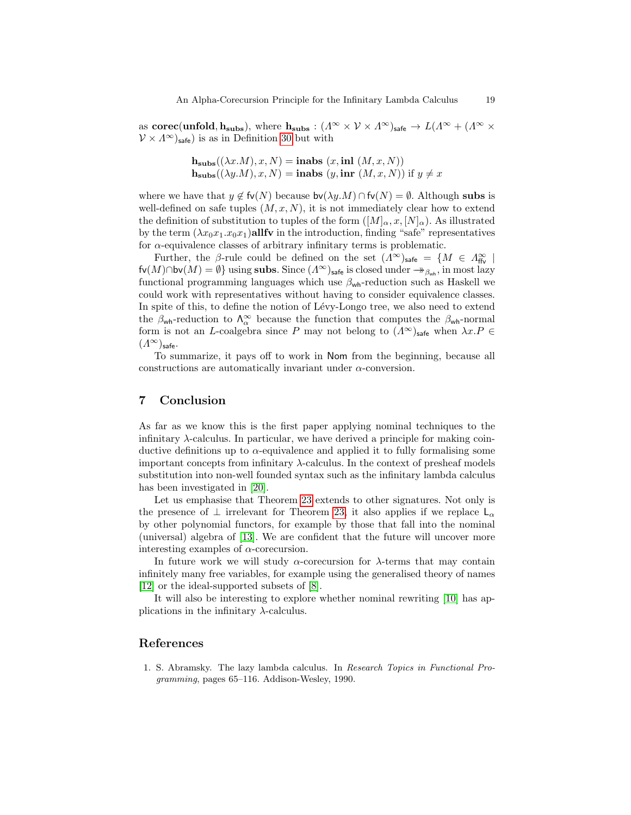as corec(unfold,  $h_{subs}$ ), where  $h_{subs}:$   $(A^{\infty} \times V \times A^{\infty})_{sub} \to L(A^{\infty} + (A^{\infty} \times V \times A^{\infty}))$  $V \times \Lambda^{\infty}$ <sub>safe</sub>) is as in Definition [30](#page-14-0) but with

$$
\mathbf{h}_{\mathbf{subs}}((\lambda x.M), x, N) = \mathbf{inabs}(x, \mathbf{inl}(M, x, N))
$$
  

$$
\mathbf{h}_{\mathbf{subs}}((\lambda y.M), x, N) = \mathbf{inabs}(y, \mathbf{inr}(M, x, N)) \text{ if } y \neq x
$$

where we have that  $y \notin f_v(N)$  because  $bv(\lambda y.M) \cap f_v(N) = \emptyset$ . Although subs is well-defined on safe tuples  $(M, x, N)$ , it is not immediately clear how to extend the definition of substitution to tuples of the form  $([M]_{\alpha}, x, [N]_{\alpha})$ . As illustrated by the term  $(\lambda x_0x_1.x_0x_1)$ allfv in the introduction, finding "safe" representatives for  $\alpha$ -equivalence classes of arbitrary infinitary terms is problematic.

Further, the β-rule could be defined on the set  $(A^{\infty})_{\text{safe}} = \{M \in A_{\text{ffv}}^{\infty} \mid$  $f(v(M) \cap bv(M) = \emptyset$  using subs. Since  $(A^{\infty})$ <sub>safe</sub> is closed under  $\rightarrow_{\beta_{wh}}$ , in most lazy functional programming languages which use  $\beta_{wh}$ -reduction such as Haskell we could work with representatives without having to consider equivalence classes. In spite of this, to define the notion of Lévy-Longo tree, we also need to extend the  $\beta_{\text{wh}}$ -reduction to  $\Lambda_{\alpha}^{\infty}$  because the function that computes the  $\beta_{\text{wh}}$ -normal form is not an L-coalgebra since P may not belong to  $(\Lambda^{\infty})_{\text{safe}}$  when  $\lambda x.P \in$  $(\Lambda^\infty)_{\mathsf{safe}}$ .

To summarize, it pays off to work in Nom from the beginning, because all constructions are automatically invariant under  $\alpha$ -conversion.

## 7 Conclusion

As far as we know this is the first paper applying nominal techniques to the infinitary  $\lambda$ -calculus. In particular, we have derived a principle for making coinductive definitions up to  $\alpha$ -equivalence and applied it to fully formalising some important concepts from infinitary  $\lambda$ -calculus. In the context of presheaf models substitution into non-well founded syntax such as the infinitary lambda calculus has been investigated in [\[20\]](#page-19-19).

Let us emphasise that Theorem [23](#page-12-0) extends to other signatures. Not only is the presence of  $\perp$  irrelevant for Theorem [23,](#page-12-0) it also applies if we replace  $\mathsf{L}_{\alpha}$ by other polynomial functors, for example by those that fall into the nominal (universal) algebra of [\[13\]](#page-19-20). We are confident that the future will uncover more interesting examples of  $\alpha$ -corecursion.

In future work we will study  $\alpha$ -corecursion for  $\lambda$ -terms that may contain infinitely many free variables, for example using the generalised theory of names [\[12\]](#page-19-21) or the ideal-supported subsets of [\[8\]](#page-19-22).

It will also be interesting to explore whether nominal rewriting [\[10\]](#page-19-23) has applications in the infinitary  $\lambda$ -calculus.

#### References

<span id="page-18-0"></span>1. S. Abramsky. The lazy lambda calculus. In Research Topics in Functional Programming, pages 65–116. Addison-Wesley, 1990.